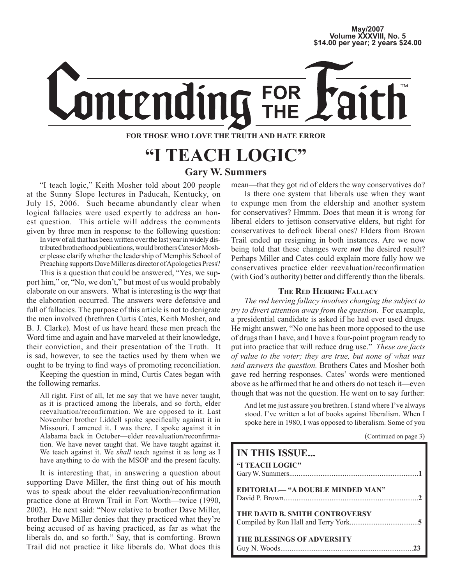## **May/2007 Volume XXXVIII, No. 5 \$14.00 per year; 2 years \$24.00**

# **FOR** mtending

## **FOR THOSE WHO LOVE THE TRUTH AND HATE ERROR**

## **"I TEACH LOGIC" Gary W. Summers**

"I teach logic," Keith Mosher told about 200 people at the Sunny Slope lectures in Paducah, Kentucky, on July 15, 2006. Such became abundantly clear when logical fallacies were used expertly to address an honest question. This article will address the comments given by three men in response to the following question:

In view of all that has been written over the last year in widely distributed brotherhood publications, would brothers Cates or Mosher please clarify whether the leadership of Memphis School of Preaching supports Dave Miller as director of Apologetics Press?

This is a question that could be answered, "Yes, we support him," or, "No, we don't," but most of us would probably elaborate on our answers. What is interesting is the *way* that the elaboration occurred. The answers were defensive and full of fallacies. The purpose of this article is not to denigrate the men involved (brethren Curtis Cates, Keith Mosher, and B. J. Clarke). Most of us have heard these men preach the Word time and again and have marveled at their knowledge, their conviction, and their presentation of the Truth. It is sad, however, to see the tactics used by them when we ought to be trying to find ways of promoting reconciliation.

Keeping the question in mind, Curtis Cates began with the following remarks.

All right. First of all, let me say that we have never taught, as it is practiced among the liberals, and so forth, elder reevaluation/reconfirmation. We are opposed to it. Last November brother Liddell spoke specifically against it in Missouri. I amened it. I was there. I spoke against it in Alabama back in October—elder reevaluation/reconfirmation. We have never taught that. We have taught against it. We teach against it. We *shall* teach against it as long as I have anything to do with the MSOP and the present faculty.

It is interesting that, in answering a question about supporting Dave Miller, the first thing out of his mouth was to speak about the elder reevaluation/reconfirmation practice done at Brown Trail in Fort Worth—twice (1990, 2002). He next said: "Now relative to brother Dave Miller, brother Dave Miller denies that they practiced what they're being accused of as having practiced, as far as what the liberals do, and so forth." Say, that is comforting. Brown Trail did not practice it like liberals do. What does this mean—that they got rid of elders the way conservatives do?

Is there one system that liberals use when they want to expunge men from the eldership and another system for conservatives? Hmmm. Does that mean it is wrong for liberal elders to jettison conservative elders, but right for conservatives to defrock liberal ones? Elders from Brown Trail ended up resigning in both instances. Are we now being told that these changes were *not* the desired result? Perhaps Miller and Cates could explain more fully how we conservatives practice elder reevaluation/reconfirmation (with God's authority) better and differently than the liberals.

## **THE RED HERRING FALLACY**

*The red herring fallacy involves changing the subject to try to divert attention away from the question.* For example, a presidential candidate is asked if he had ever used drugs. He might answer, "No one has been more opposed to the use of drugs than I have, and I have a four-point program ready to put into practice that will reduce drug use." *These are facts of value to the voter; they are true, but none of what was said answers the question.* Brothers Cates and Mosher both gave red herring responses. Cates' words were mentioned above as he affirmed that he and others do not teach it—even though that was not the question. He went on to say further:

And let me just assure you brethren. I stand where I've always stood. I've written a lot of books against liberalism. When I spoke here in 1980, I was opposed to liberalism. Some of you

| (Continued on page 3) |  |  |  |
|-----------------------|--|--|--|
|-----------------------|--|--|--|

| <b>IN THIS ISSUE</b>                    |
|-----------------------------------------|
| "I TEACH LOGIC"                         |
| <b>EDITORIAL— "A DOUBLE MINDED MAN"</b> |
| THE DAVID B. SMITH CONTROVERSY          |
| <b>THE BLESSINGS OF ADVERSITY</b>       |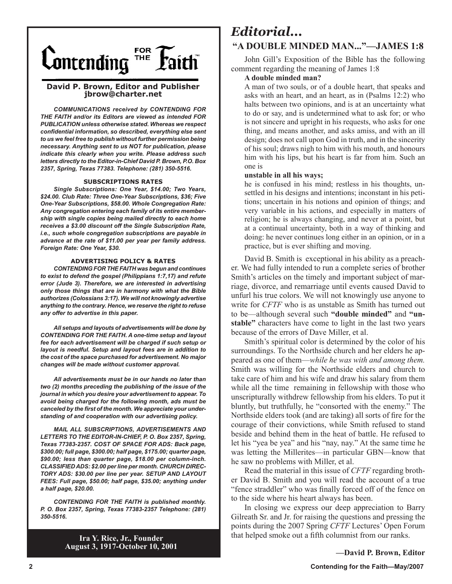

### **David P. Brown, Editor and Publisher jbrow@charter.net**

*COMMUNICATIONS received by CONTENDING FOR THE FAITH and/or its Editors are viewed as intended FOR PUBLICATION unless otherwise stated. Whereas we respect confidential information, so described, everything else sent to us we feel free to publish without further permission being necessary. Anything sent to us NOT for publication, please indicate this clearly when you write. Please address such letters directly to the Editor-in-Chief David P. Brown, P.O. Box 2357, Spring, Texas 77383. Telephone: (281) 350-5516.*

#### **SUBSCRIPTIONS RATES**

*Single Subscriptions: One Year, \$14.00; Two Years, \$24.00. Club Rate: Three One-Year Subscriptions, \$36; Five One-Year Subscriptions, \$58.00. Whole Congregation Rate: Any congregation entering each family of its entire membership with single copies being mailed directly to each home receives a \$3.00 discount off the Single Subscription Rate, i.e., such whole congregation subscriptions are payable in advance at the rate of \$11.00 per year per family address. Foreign Rate: One Year, \$30.*

#### **ADVERTISING POLICY & RATES**

*CONTENDING FOR THE FAITH was begun and continues to exist to defend the gospel (Philippians 1:7,17) and refute error (Jude 3). Therefore, we are interested in advertising only those things that are in harmony with what the Bible authorizes (Colossians 3:17). We will not knowingly advertise anything to the contrary. Hence, we reserve the right to refuse any offer to advertise in this paper.*

*All setups and layouts of advertisements will be done by CONTENDING FOR THE FAITH. A one-time setup and layout fee for each advertisement will be charged if such setup or layout is needful. Setup and layout fees are in addition to the cost of the space purchased for advertisement. No major changes will be made without customer approval.*

*All advertisements must be in our hands no later than two (2) months preceding the publishing of the issue of the journal in which you desire your advertisement to appear. To avoid being charged for the following month, ads must be canceled by the first of the month. We appreciate your understanding of and cooperation with our advertising policy.*

*MAIL ALL SUBSCRIPTIONS, ADVERTISEMENTS AND LETTERS TO THE EDITOR-IN-CHIEF, P. O. Box 2357, Spring, Texas 77383-2357. COST OF SPACE FOR ADS: Back page, \$300.00; full page, \$300.00; half page, \$175.00; quarter page, \$90.00; less than quarter page, \$18.00 per column-inch. CLASSIFIED ADS: \$2.00 per line per month. CHURCH DIREC-TORY ADS: \$30.00 per line per year. SETUP AND LAYOUT FEES: Full page, \$50.00; half page, \$35.00; anything under a half page, \$20.00.*

*CONTENDING FOR THE FAITH is published monthly. P. O. Box 2357, Spring, Texas 77383-2357 Telephone: (281) 350-5516.*

> **Ira Y. Rice, Jr., Founder August 3, 1917-October 10, 2001**

## *Editorial...* **"A DOUBLE MINDED MAN..."—JAMES 1:8**

John Gill's Exposition of the Bible has the following comment regarding the meaning of James 1:8

### **A double minded man?**

A man of two souls, or of a double heart, that speaks and asks with an heart, and an heart, as in (Psalms 12:2) who halts between two opinions, and is at an uncertainty what to do or say, and is undetermined what to ask for; or who is not sincere and upright in his requests, who asks for one thing, and means another, and asks amiss, and with an ill design; does not call upon God in truth, and in the sincerity of his soul; draws nigh to him with his mouth, and honours him with his lips, but his heart is far from him. Such an one is

#### **unstable in all his ways;**

he is confused in his mind; restless in his thoughts, unsettled in his designs and intentions; inconstant in his petitions; uncertain in his notions and opinion of things; and very variable in his actions, and especially in matters of religion; he is always changing, and never at a point, but at a continual uncertainty, both in a way of thinking and doing: he never continues long either in an opinion, or in a practice, but is ever shifting and moving.

David B. Smith is exceptional in his ability as a preacher. We had fully intended to run a complete series of brother Smith's articles on the timely and important subject of marriage, divorce, and remarriage until events caused David to unfurl his true colors. We will not knowingly use anyone to write for *CFTF* who is as unstable as Smith has turned out to be—although several such **"double minded"** and **"unstable"** characters have come to light in the last two years because of the errors of Dave Miller, et al.

Smith's spiritual color is determined by the color of his surroundings. To the Northside church and her elders he appeared as one of them—*while he was with and among them.* Smith was willing for the Northside elders and church to take care of him and his wife and draw his salary from them while all the time remaining in fellowship with those who unscripturally withdrew fellowship from his elders. To put it bluntly, but truthfully, he "consorted with the enemy." The Northside elders took (and are taking) all sorts of fire for the courage of their convictions, while Smith refused to stand beside and behind them in the heat of battle. He refused to let his "yea be yea" and his "nay, nay." At the same time he was letting the Millerites—in particular GBN—know that he saw no problems with Miller, et al.

Read the material in this issue of *CFTF* regarding brother David B. Smith and you will read the account of a true "fence straddler" who was finally forced off of the fence on to the side where his heart always has been.

In closing we express our deep appreciation to Barry Gilreath Sr. and Jr. for raising the questions and pressing the points during the 2007 Spring *CFTF* Lectures' Open Forum that helped smoke out a fifth columnist from our ranks.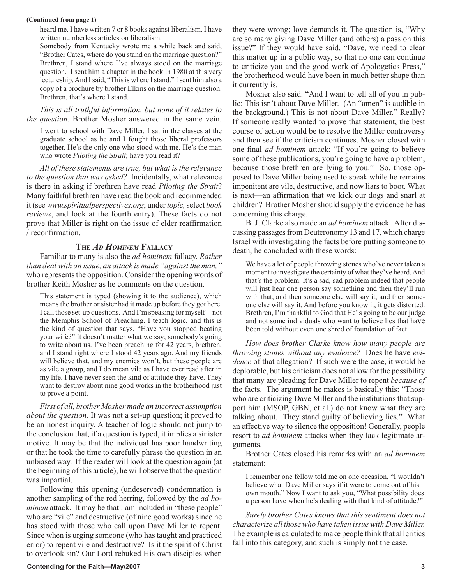#### **(Continued from page 1)**

heard me. I have written 7 or 8 books against liberalism. I have written numberless articles on liberalism.

Somebody from Kentucky wrote me a while back and said, "Brother Cates, where do you stand on the marriage question?" Brethren, I stand where I've always stood on the marriage question. I sent him a chapter in the book in 1980 at this very lectureship. And I said, "This is where I stand." I sent him also a copy of a brochure by brother Elkins on the marriage question. Brethren, that's where I stand.

*This is all truthful information, but none of it relates to the question.* Brother Mosher answered in the same vein.

I went to school with Dave Miller. I sat in the classes at the graduate school as he and I fought those liberal professors together. He's the only one who stood with me. He's the man who wrote *Piloting the Strait*; have you read it?

*All of these statements are true, but what is the relevance to the question that was asked?* Incidentally, what relevance is there in asking if brethren have read *Piloting the Strait*? Many faithful brethren have read the book and recommended it (see *www.spiritualperspectives.org*; under *topic,* select *book reviews*, and look at the fourth entry). These facts do not prove that Miller is right on the issue of elder reaffirmation / reconfirmation.

### **THE** *AD HOMINEM* **FALLACY**

Familiar to many is also the *ad hominem* fallacy. *Rather than deal with an issue, an attack is made "against the man,"*  who represents the opposition. Consider the opening words of brother Keith Mosher as he comments on the question.

This statement is typed (showing it to the audience), which means the brother or sister had it made up before they got here. I call those set-up questions. And I'm speaking for myself—not the Memphis School of Preaching. I teach logic, and this is the kind of question that says, "Have you stopped beating your wife?" It doesn't matter what we say; somebody's going to write about us. I've been preaching for 42 years, brethren, and I stand right where I stood 42 years ago. And my friends will believe that, and my enemies won't, but these people are as vile a group, and I do mean vile as I have ever read after in my life. I have never seen the kind of attitude they have. They want to destroy about nine good works in the brotherhood just to prove a point.

*First of all, brother Mosher made an incorrect assumption about the question.* It was not a set-up question; it proved to be an honest inquiry. A teacher of logic should not jump to the conclusion that, if a question is typed, it implies a sinister motive. It may be that the individual has poor handwriting or that he took the time to carefully phrase the question in an unbiased way. If the reader will look at the question again (at the beginning of this article), he will observe that the question was impartial.

Following this opening (undeserved) condemnation is another sampling of the red herring, followed by the *ad hominem* attack. It may be that I am included in "these people" who are "vile" and destructive (of nine good works) since he has stood with those who call upon Dave Miller to repent. Since when is urging someone (who has taught and practiced error) to repent vile and destructive? Is it the spirit of Christ to overlook sin? Our Lord rebuked His own disciples when they were wrong; love demands it. The question is, "Why are so many giving Dave Miller (and others) a pass on this issue?" If they would have said, "Dave, we need to clear this matter up in a public way, so that no one can continue to criticize you and the good work of Apologetics Press," the brotherhood would have been in much better shape than it currently is.

Mosher also said: "And I want to tell all of you in public: This isn't about Dave Miller. (An "amen" is audible in the background.) This is not about Dave Miller." Really? If someone really wanted to prove that statement, the best course of action would be to resolve the Miller controversy and then see if the criticism continues. Mosher closed with one final *ad hominem* attack: "If you're going to believe some of these publications, you're going to have a problem, because those brethren are lying to you." So, those opposed to Dave Miller being used to speak while he remains impenitent are vile, destructive, and now liars to boot. What is next—an affirmation that we kick our dogs and snarl at children? Brother Mosher should supply the evidence he has concerning this charge.

B. J. Clarke also made an *ad hominem* attack. After discussing passages from Deuteronomy 13 and 17, which charge Israel with investigating the facts before putting someone to death, he concluded with these words:

We have a lot of people throwing stones who've never taken a moment to investigate the certainty of what they've heard. And that's the problem. It's a sad, sad problem indeed that people will just hear one person say something and then they'll run with that, and then someone else will say it, and then someone else will say it. And before you know it, it gets distorted. Brethren, I'm thankful to God that He' s going to be our judge and not some individuals who want to believe lies that have been told without even one shred of foundation of fact.

*How does brother Clarke know how many people are throwing stones without any evidence?* Does he have *evidence* of that allegation? If such were the case, it would be deplorable, but his criticism does not allow for the possibility that many are pleading for Dave Miller to repent *because of*  the facts. The argument he makes is basically this: "Those who are criticizing Dave Miller and the institutions that support him (MSOP, GBN, et al.) do not know what they are talking about. They stand guilty of believing lies." What an effective way to silence the opposition! Generally, people resort to *ad hominem* attacks when they lack legitimate arguments.

Brother Cates closed his remarks with an *ad hominem* statement:

I remember one fellow told me on one occasion, "I wouldn't believe what Dave Miller says if it were to come out of his own mouth." Now I want to ask you, "What possibility does a person have when he's dealing with that kind of attitude?"

*Surely brother Cates knows that this sentiment does not characterize all those who have taken issue with Dave Miller.*  The example is calculated to make people think that all critics fall into this category, and such is simply not the case.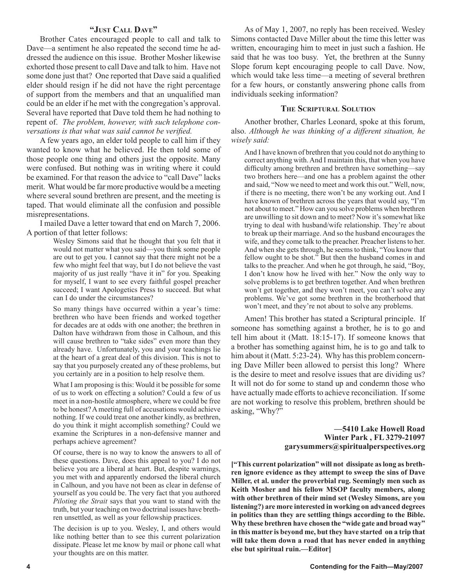## **"JUST CALL DAVE"**

Brother Cates encouraged people to call and talk to Dave—a sentiment he also repeated the second time he addressed the audience on this issue. Brother Mosher likewise exhorted those present to call Dave and talk to him. Have not some done just that? One reported that Dave said a qualified elder should resign if he did not have the right percentage of support from the members and that an unqualified man could be an elder if he met with the congregation's approval. Several have reported that Dave told them he had nothing to repent of. *The problem, however, with such telephone conversations is that what was said cannot be verified.* 

A few years ago, an elder told people to call him if they wanted to know what he believed. He then told some of those people one thing and others just the opposite. Many were confused. But nothing was in writing where it could be examined. For that reason the advice to "call Dave" lacks merit. What would be far more productive would be a meeting where several sound brethren are present, and the meeting is taped. That would eliminate all the confusion and possible misrepresentations.

I mailed Dave a letter toward that end on March 7, 2006. A portion of that letter follows:

> Wesley Simons said that he thought that you felt that it would not matter what you said—you think some people are out to get you. I cannot say that there might not be a few who might feel that way, but I do not believe the vast majority of us just really "have it in" for you. Speaking for myself, I want to see every faithful gospel preacher succeed; I want Apologetics Press to succeed. But what can I do under the circumstances?

So many things have occurred within a year's time: brethren who have been friends and worked together for decades are at odds with one another; the brethren in Dalton have withdrawn from those in Calhoun, and this will cause brethren to "take sides" even more than they already have. Unfortunately, you and your teachings lie at the heart of a great deal of this division. This is not to say that you purposely created any of these problems, but you certainly are in a position to help resolve them.

What I am proposing is this: Would it be possible for some of us to work on effecting a solution? Could a few of us meet in a non-hostile atmosphere, where we could be free to be honest? A meeting full of accusations would achieve nothing. If we could treat one another kindly, as brethren, do you think it might accomplish something? Could we examine the Scriptures in a non-defensive manner and perhaps achieve agreement?

Of course, there is no way to know the answers to all of these questions. Dave, does this appeal to you? I do not believe you are a liberal at heart. But, despite warnings, you met with and apparently endorsed the liberal church in Calhoun, and you have not been as clear in defense of yourself as you could be. The very fact that you authored *Piloting the Strait* says that you want to stand with the truth, but your teaching on two doctrinal issues have brethren unsettled, as well as your fellowship practices.

The decision is up to you. Wesley, I, and others would like nothing better than to see this current polarization dissipate. Please let me know by mail or phone call what your thoughts are on this matter.

As of May 1, 2007, no reply has been received. Wesley Simons contacted Dave Miller about the time this letter was written, encouraging him to meet in just such a fashion. He said that he was too busy. Yet, the brethren at the Sunny Slope forum kept encouraging people to call Dave. Now, which would take less time—a meeting of several brethren for a few hours, or constantly answering phone calls from individuals seeking information?

### **THE SCRIPTURAL SOLUTION**

Another brother, Charles Leonard, spoke at this forum, also. *Although he was thinking of a different situation, he wisely said:* 

And I have known of brethren that you could not do anything to correct anything with. And I maintain this, that when you have difficulty among brethren and brethren have something—say two brothers here—and one has a problem against the other and said, "Now we need to meet and work this out." Well, now, if there is no meeting, there won't be any working out. And I have known of brethren across the years that would say, "I'm not about to meet." How can you solve problems when brethren are unwilling to sit down and to meet? Now it's somewhat like trying to deal with husband/wife relationship. They're about to break up their marriage. And so the husband encourages the wife, and they come talk to the preacher. Preacher listens to her. And when she gets through, he seems to think, "You know that fellow ought to be shot." But then the husband comes in and talks to the preacher. And when he got through, he said, "Boy, I don't know how he lived with her." Now the only way to solve problems is to get brethren together. And when brethren won't get together, and they won't meet, you can't solve any problems. We've got some brethren in the brotherhood that won't meet, and they're not about to solve any problems.

Amen! This brother has stated a Scriptural principle. If someone has something against a brother, he is to go and tell him about it (Matt. 18:15-17). If someone knows that a brother has something against him, he is to go and talk to him about it (Matt. 5:23-24). Why has this problem concerning Dave Miller been allowed to persist this long? Where is the desire to meet and resolve issues that are dividing us? It will not do for some to stand up and condemn those who have actually made efforts to achieve reconciliation. If some are not working to resolve this problem, brethren should be asking, "Why?"

## **—5410 Lake Howell Road Winter Park , FL 3279-21097 garysummers@spiritualperspectives.org**

**["This current polarization" will not dissipate as long as brethren ignore evidence as they attempt to sweep the sins of Dave Miller, et al. under the proverbial rug. Seemingly men such as Keith Mosher and his fellow MSOP faculty members, along with other brethren of their mind set (Wesley Simons, are you listening?) are more interested in working on advanced degrees in politics than they are settling things according to the Bible. Why these brethren have chosen the "wide gate and broad way" in this matter is beyond me, but they have started on a trip that will take them down a road that has never ended in anything else but spiritual ruin.—Editor]**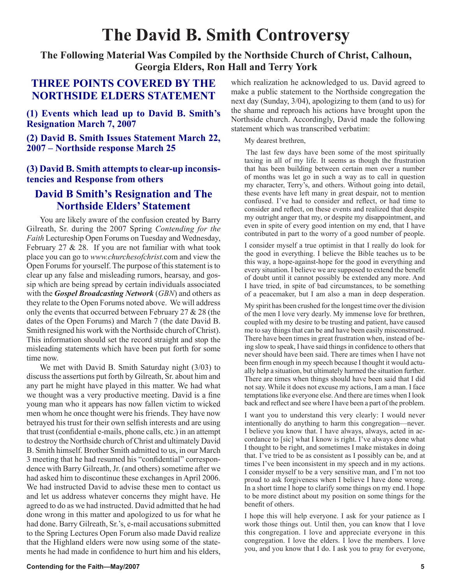## **The David B. Smith Controversy**

**The Following Material Was Compiled by the Northside Church of Christ, Calhoun, Georgia Elders, Ron Hall and Terry York** 

## **THREE POINTS COVERED BY THE NORTHSIDE ELDERS STATEMENT**

**(1) Events which lead up to David B. Smith's Resignation March 7, 2007**

**(2) David B. Smith Issues Statement March 22, 2007 – Northside response March 25**

## **(3) David B. Smith attempts to clear-up inconsistencies and Response from others**

## **David B Smith's Resignation and The Northside Elders' Statement**

You are likely aware of the confusion created by Barry Gilreath, Sr. during the 2007 Spring *Contending for the Faith* Lectureship Open Forums on Tuesday and Wednesday, February 27 & 28. If you are not familiar with what took place you can go to *www.churchesofchrist.*com and view the Open Forums for yourself. The purpose of this statement is to clear up any false and misleading rumors, hearsay, and gossip which are being spread by certain individuals associated with the *Gospel Broadcasting Network* (*GBN*) and others as they relate to the Open Forums noted above. We will address only the events that occurred between February 27 & 28 (the dates of the Open Forums) and March 7 (the date David B. Smith resigned his work with the Northside church of Christ). This information should set the record straight and stop the misleading statements which have been put forth for some time now.

We met with David B. Smith Saturday night (3/03) to discuss the assertions put forth by Gilreath, Sr. about him and any part he might have played in this matter. We had what we thought was a very productive meeting. David is a fine young man who it appears has now fallen victim to wicked men whom he once thought were his friends. They have now betrayed his trust for their own selfish interests and are using that trust (confidential e-mails, phone calls, etc.) in an attempt to destroy the Northside church of Christ and ultimately David B. Smith himself. Brother Smith admitted to us, in our March 3 meeting that he had resumed his "confidential" correspondence with Barry Gilreath, Jr. (and others) sometime after we had asked him to discontinue these exchanges in April 2006. We had instructed David to advise these men to contact us and let us address whatever concerns they might have. He agreed to do as we had instructed. David admitted that he had done wrong in this matter and apologized to us for what he had done. Barry Gilreath, Sr.'s, e-mail accusations submitted to the Spring Lectures Open Forum also made David realize that the Highland elders were now using some of the statements he had made in confidence to hurt him and his elders, which realization he acknowledged to us. David agreed to make a public statement to the Northside congregation the next day (Sunday, 3/04), apologizing to them (and to us) for the shame and reproach his actions have brought upon the Northside church. Accordingly, David made the following statement which was transcribed verbatim:

My dearest brethren,

 The last few days have been some of the most spiritually taxing in all of my life. It seems as though the frustration that has been building between certain men over a number of months was let go in such a way as to call in question my character, Terry's, and others. Without going into detail, these events have left many in great despair, not to mention confused. I've had to consider and reflect, or had time to consider and reflect, on these events and realized that despite my outright anger that my, or despite my disappointment, and even in spite of every good intention on my end, that I have contributed in part to the worry of a good number of people.

I consider myself a true optimist in that I really do look for the good in everything. I believe the Bible teaches us to be this way, a hope-against-hope for the good in everything and every situation. I believe we are supposed to extend the benefit of doubt until it cannot possibly be extended any more. And I have tried, in spite of bad circumstances, to be something of a peacemaker, but I am also a man in deep desperation.

My spirit has been crushed for the longest time over the division of the men I love very dearly. My immense love for brethren, coupled with my desire to be trusting and patient, have caused me to say things that can be and have been easily misconstrued. There have been times in great frustration when, instead of being slow to speak, I have said things in confidence to others that never should have been said. There are times when I have not been firm enough in my speech because I thought it would actually help a situation, but ultimately harmed the situation further. There are times when things should have been said that I did not say. While it does not excuse my actions, I am a man. I face temptations like everyone else. And there are times when I look back and reflect and see where I have been a part of the problem.

I want you to understand this very clearly: I would never intentionally do anything to harm this congregation—never. I believe you know that. I have always, always, acted in accordance to [sic] what I know is right. I've always done what I thought to be right, and sometimes I make mistakes in doing that. I've tried to be as consistent as I possibly can be, and at times I've been inconsistent in my speech and in my actions. I consider myself to be a very sensitive man, and I'm not too proud to ask forgiveness when I believe I have done wrong. In a short time I hope to clarify some things on my end. I hope to be more distinct about my position on some things for the benefit of others.

I hope this will help everyone. I ask for your patience as I work those things out. Until then, you can know that I love this congregation. I love and appreciate everyone in this congregation. I love the elders. I love the members. I love you, and you know that I do. I ask you to pray for everyone,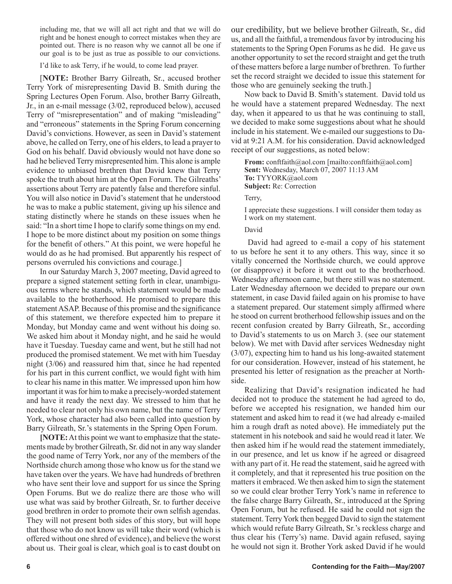including me, that we will all act right and that we will do right and be honest enough to correct mistakes when they are pointed out. There is no reason why we cannot all be one if our goal is to be just as true as possible to our convictions.

I'd like to ask Terry, if he would, to come lead prayer.

[**NOTE:** Brother Barry Gilreath, Sr., accused brother Terry York of misrepresenting David B. Smith during the Spring Lectures Open Forum. Also, brother Barry Gilreath, Jr., in an e-mail message (3/02, reproduced below), accused Terry of "misrepresentation" and of making "misleading" and "erroneous" statements in the Spring Forum concerning David's convictions. However, as seen in David's statement above, he called on Terry, one of his elders, to lead a prayer to God on his behalf. David obviously would not have done so had he believed Terry misrepresented him. This alone is ample evidence to unbiased brethren that David knew that Terry spoke the truth about him at the Open Forum. The Gilreaths' assertions about Terry are patently false and therefore sinful. You will also notice in David's statement that he understood he was to make a public statement, giving up his silence and stating distinctly where he stands on these issues when he said: "In a short time I hope to clarify some things on my end. I hope to be more distinct about my position on some things for the benefit of others." At this point, we were hopeful he would do as he had promised. But apparently his respect of persons overruled his convictions and courage.]

In our Saturday March 3, 2007 meeting, David agreed to prepare a signed statement setting forth in clear, unambiguous terms where he stands, which statement would be made available to the brotherhood. He promised to prepare this statement ASAP. Because of this promise and the significance of this statement, we therefore expected him to prepare it Monday, but Monday came and went without his doing so. We asked him about it Monday night, and he said he would have it Tuesday. Tuesday came and went, but he still had not produced the promised statement. We met with him Tuesday night (3/06) and reassured him that, since he had repented for his part in this current conflict, we would fight with him to clear his name in this matter. We impressed upon him how important it was for him to make a precisely-worded statement and have it ready the next day. We stressed to him that he needed to clear not only his own name, but the name of Terry York, whose character had also been called into question by Barry Gilreath, Sr.'s statements in the Spring Open Forum.

**[NOTE:** At this point we want to emphasize that the statements made by brother Gilreath, Sr. did not in any way slander the good name of Terry York, nor any of the members of the Northside church among those who know us for the stand we have taken over the years. We have had hundreds of brethren who have sent their love and support for us since the Spring Open Forums. But we do realize there are those who will use what was said by brother Gilreath, Sr. to further deceive good brethren in order to promote their own selfish agendas. They will not present both sides of this story, but will hope that those who do not know us will take their word (which is offered without one shred of evidence), and believe the worst about us. Their goal is clear, which goal is to cast doubt on our credibility, but we believe brother Gilreath, Sr., did us, and all the faithful, a tremendous favor by introducing his statements to the Spring Open Forums as he did. He gave us another opportunity to set the record straight and get the truth of these matters before a large number of brethren. To further set the record straight we decided to issue this statement for those who are genuinely seeking the truth.]

Now back to David B. Smith's statement. David told us he would have a statement prepared Wednesday. The next day, when it appeared to us that he was continuing to stall, we decided to make some suggestions about what he should include in his statement. We e-mailed our suggestions to David at 9:21 A.M. for his consideration. David acknowledged receipt of our suggestions, as noted below:

From: conftfaith@aol.com [mailto:conftfaith@aol.com] **Sent:** Wednesday, March 07, 2007 11:13 AM **To:** TYYORK@aol.com **Subject:** Re: Correction

Terry,

I appreciate these suggestions. I will consider them today as I work on my statement.

## David

David had agreed to e-mail a copy of his statement to us before he sent it to any others. This way, since it so vitally concerned the Northside church, we could approve (or disapprove) it before it went out to the brotherhood. Wednesday afternoon came, but there still was no statement. Later Wednesday afternoon we decided to prepare our own statement, in case David failed again on his promise to have a statement prepared. Our statement simply affirmed where he stood on current brotherhood fellowship issues and on the recent confusion created by Barry Gilreath, Sr., according to David's statements to us on March 3. (see our statement below). We met with David after services Wednesday night (3/07), expecting him to hand us his long-awaited statement for our consideration. However, instead of his statement, he presented his letter of resignation as the preacher at Northside.

Realizing that David's resignation indicated he had decided not to produce the statement he had agreed to do, before we accepted his resignation, we handed him our statement and asked him to read it (we had already e-mailed him a rough draft as noted above). He immediately put the statement in his notebook and said he would read it later. We then asked him if he would read the statement immediately, in our presence, and let us know if he agreed or disagreed with any part of it. He read the statement, said he agreed with it completely, and that it represented his true position on the matters it embraced. We then asked him to sign the statement so we could clear brother Terry York's name in reference to the false charge Barry Gilreath, Sr., introduced at the Spring Open Forum, but he refused. He said he could not sign the statement. Terry York then begged David to sign the statement which would refute Barry Gilreath, Sr.'s reckless charge and thus clear his (Terry's) name. David again refused, saying he would not sign it. Brother York asked David if he would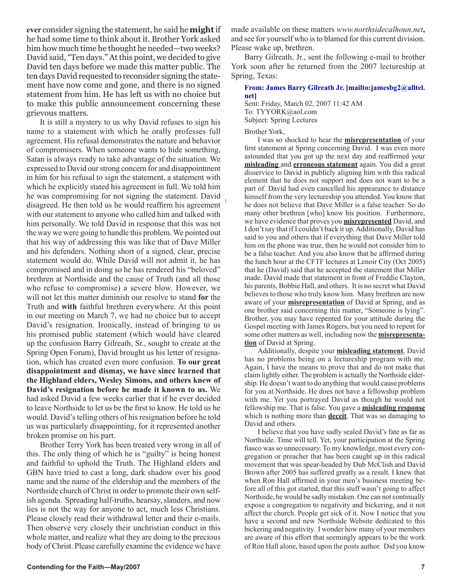**ever** consider signing the statement, he said he **might** if he had some time to think about it. Brother York asked him how much time he thought he needed—two weeks? David said, "Ten days." At this point, we decided to give David ten days before we made this matter public. The ten days David requested to reconsider signing the statement have now come and gone, and there is no signed statement from him. He has left us with no choice but to make this public announcement concerning these grievous matters.

It is still a mystery to us why David refuses to sign his name to a statement with which he orally professes full agreement. His refusal demonstrates the nature and behavior of compromisers. When someone wants to hide something, Satan is always ready to take advantage of the situation. We expressed to David our strong concern for and disappointment in him for his refusal to sign the statement, a statement with which he explicitly stated his agreement in full. We told him he was compromising for not signing the statement. David disagreed. He then told us he would reaffirm his agreement with our statement to anyone who called him and talked with him personally. We told David in response that this was not the way we were going to handle this problem. We pointed out that his way of addressing this was like that of Dave Miller and his defenders. Nothing short of a signed, clear, precise statement would do. While David will not admit it, he has compromised and in doing so he has rendered his "beloved" brethren at Northside and the cause of Truth (and all those who refuse to compromise) a severe blow. However, we will not let this matter diminish our resolve to stand **for** the Truth and **with** faithful brethren everywhere. At this point in our meeting on March 7, we had no choice but to accept David's resignation. Ironically, instead of bringing to us his promised public statement (which would have cleared up the confusion Barry Gilreath, Sr., sought to create at the Spring Open Forum), David brought us his letter of resignation, which has created even more confusion. **To our great disappointment and dismay, we have since learned that the Highland elders, Wesley Simons, and others knew of David's resignation before he made it known to us.** We had asked David a few weeks earlier that if he ever decided to leave Northside to let us be the first to know. He told us he would. David's telling others of his resignation before he told us was particularly disappointing, for it represented another broken promise on his part.

Brother Terry York has been treated very wrong in all of this. The only thing of which he is "guilty" is being honest and faithful to uphold the Truth. The Highland elders and GBN have tried to cast a long, dark shadow over his good name and the name of the eldership and the members of the Northside church of Christ in order to promote their own selfish agenda. Spreading half-truths, hearsay, slanders, and now lies is not the way for anyone to act, much less Christians. Please closely read their withdrawal letter and their e-mails. Then observe very closely their unchristian conduct in this whole matter, and realize what they are doing to the precious body of Christ. Please carefully examine the evidence we have

Barry Gilreath, Jr., sent the following e-mail to brother York soon after he returned from the 2007 lectureship at Spring, Texas:

## **From: James Barry Gilreath Jr. [mailto:jamesbg2@alltel. net]**

Sent: Friday, March 02, 2007 11:42 AM To: TYYORK@aol.com Subject: Spring Lectures

## Brother York,

I was so shocked to hear the **misrepresentation** of your first statement at Spring concerning David. I was even more astounded that you got up the next day and reaffirmed your **misleading** and **erroneous statement** again. You did a great disservice to David in publicly aligning him with this radical element that he does not support and does not want to be a part of. David had even cancelled his appearance to distance himself from the very lectureship you attended. You know that he does not believe that Dave Miller is a false teacher. So do many other brethren [who] know his position. Furthermore, we have evidence that proves you **misrepresented** David, and I don't say that if I couldn't back it up. Additionally, David has said to you and others that if everything that Dave Miller told him on the phone was true, then he would not consider him to be a false teacher. And you also know that he affirmed during the lunch hour at the CFTF lectures at Lenoir City (Oct 2005) that he (David) said that he accepted the statement that Miller made. David made that statement in front of Freddie Clayton, his parents, Bobbie Hall, and others. It is no secret what David believes to those who truly know him. Many brethren are now aware of your **misrepresentation** of David at Spring, and as one brother said concerning this matter, "Someone is lying". Brother, you may have repented for your attitude during the Gospel meeting with James Rogers, but you need to repent for some other matters as well, including now the **misrepresentation** of David at Spring.

Additionally, despite your **misleading statement**, David has no problems being on a lectureship program with me. Again, I have the means to prove that and do not make that claim lightly either. The problem is actually the Northside eldership. He doesn't want to do anything that would cause problems for you at Northside. He does not have a fellowship problem with me. Yet you portrayed David as though he would not fellowship me. That is false. You gave a **misleading response** which is nothing more than **deceit**. That was so damaging to David and others.

I believe that you have sadly sealed David's fate as far as Northside. Time will tell. Yet, your participation at the Spring fiasco was so unnecessary. To my knowledge, most every congregation or preacher that has been caught up in this radical movement that was spear-headed by Dub McClish and David Brown after 2005 has suffered greatly as a result. I knew that when Ron Hall affirmed in your men's business meeting before all of this got started, that this stuff wasn't going to affect Northside, he would be sadly mistaken. One can not continually expose a congregation to negativity and bickering, and it not affect the church. People get sick of it. Now I notice that you have a second and new Northside Website dedicated to this bickering and negativity. I wonder how many of your members are aware of this effort that seemingly appears to be the work of Ron Hall alone, based upon the posts author. Did you know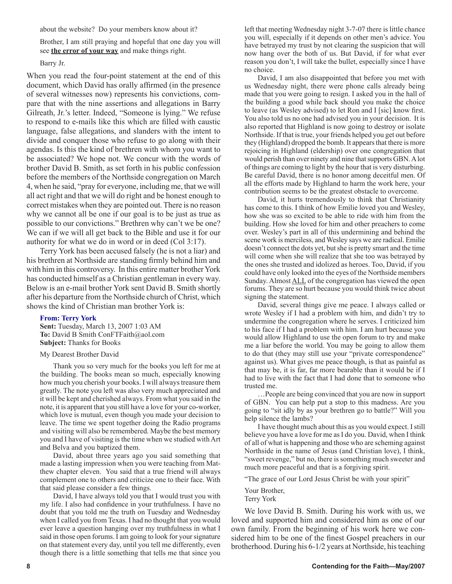about the website? Do your members know about it?

Brother, I am still praying and hopeful that one day you will see **the error of your way** and make things right.

## Barry Jr.

When you read the four-point statement at the end of this document, which David has orally affirmed (in the presence of several witnesses now) represents his convictions, compare that with the nine assertions and allegations in Barry Gilreath, Jr.'s letter. Indeed, "Someone is lying." We refuse to respond to e-mails like this which are filled with caustic language, false allegations, and slanders with the intent to divide and conquer those who refuse to go along with their agendas. Is this the kind of brethren with whom you want to be associated? We hope not. We concur with the words of brother David B. Smith, as set forth in his public confession before the members of the Northside congregation on March 4, when he said, "pray for everyone, including me, that we will all act right and that we will do right and be honest enough to correct mistakes when they are pointed out. There is no reason why we cannot all be one if our goal is to be just as true as possible to our convictions." Brethren why can't we be one? We can if we will all get back to the Bible and use it for our authority for what we do in word or in deed (Col 3:17).

Terry York has been accused falsely (he is not a liar) and his brethren at Northside are standing firmly behind him and with him in this controversy. In this entire matter brother York has conducted himself as a Christian gentleman in every way. Below is an e-mail brother York sent David B. Smith shortly after his departure from the Northside church of Christ, which shows the kind of Christian man brother York is:

## **From: Terry York**

**Sent:** Tuesday, March 13, 2007 1:03 AM **To:** David B Smith ConFTFaith@aol.com **Subject:** Thanks for Books

#### My Dearest Brother David

Thank you so very much for the books you left for me at the building. The books mean so much, especially knowing how much you cherish your books. I will always treasure them greatly. The note you left was also very much appreciated and it will be kept and cherished always. From what you said in the note, it is apparent that you still have a love for your co-worker, which love is mutual, even though you made your decision to leave. The time we spent together doing the Radio programs and visiting will also be remembered. Maybe the best memory you and I have of visiting is the time when we studied with Art and Belva and you baptized them.

David, about three years ago you said something that made a lasting impression when you were teaching from Matthew chapter eleven. You said that a true friend will always complement one to others and criticize one to their face. With that said please consider a few things.

David, I have always told you that I would trust you with my life. I also had confidence in your truthfulness. I have no doubt that you told me the truth on Tuesday and Wednesday when I called you from Texas. I had no thought that you would ever leave a question hanging over my truthfulness in what I said in those open forums. I am going to look for your signature on that statement every day, until you tell me differently, even though there is a little something that tells me that since you left that meeting Wednesday night 3-7-07 there is little chance you will, especially if it depends on other men's advice. You have betrayed my trust by not clearing the suspicion that will now hang over the both of us. But David, if for what ever reason you don't, I will take the bullet, especially since I have no choice.

David, I am also disappointed that before you met with us Wednesday night, there were phone calls already being made that you were going to resign. I asked you in the hall of the building a good while back should you make the choice to leave (as Wesley advised) to let Ron and I [sic] know first. You also told us no one had advised you in your decision. It is also reported that Highland is now going to destroy or isolate Northside. If that is true, your friends helped you get out before they (Highland) dropped the bomb. It appears that there is more rejoicing in Highland (eldership) over one congregation that would perish than over ninety and nine that supports GBN. A lot of things are coming to light by the hour that is very disturbing. Be careful David, there is no honor among deceitful men. Of all the efforts made by Highland to harm the work here, your contribution seems to be the greatest obstacle to overcome.

David, it hurts tremendously to think that Christianity has come to this. I think of how Emilie loved you and Wesley, how she was so excited to be able to ride with him from the building. How she loved for him and other preachers to come over. Wesley's part in all of this undermining and behind the scene work is merciless, and Wesley says we are radical. Emilie doesn't connect the dots yet, but she is pretty smart and the time will come when she will realize that she too was betrayed by the ones she trusted and idolized as heroes. Too, David, if you could have only looked into the eyes of the Northside members Sunday. Almost ALL of the congregation has viewed the open forums. They are so hurt because you would think twice about signing the statement.

David, several things give me peace. I always called or wrote Wesley if I had a problem with him, and didn't try to undermine the congregation where he serves. I criticized him to his face if I had a problem with him. I am hurt because you would allow Highland to use the open forum to try and make me a liar before the world. You may be going to allow them to do that (they may still use your "private correspondence" against us). What gives me peace though, is that as painful as that may be, it is far, far more bearable than it would be if I had to live with the fact that I had done that to someone who trusted me.

…People are being convinced that you are now in support of GBN. You can help put a stop to this madness. Are you going to "sit idly by as your brethren go to battle?" Will you help silence the lambs?

I have thought much about this as you would expect. I still believe you have a love for me as I do you. David, when I think of all of what is happening and those who are scheming against Northside in the name of Jesus (and Christian love), I think, "sweet revenge," but no, there is something much sweeter and much more peaceful and that is a forgiving spirit.

"The grace of our Lord Jesus Christ be with your spirit"

Your Brother, Terry York

We love David B. Smith. During his work with us, we loved and supported him and considered him as one of our own family. From the beginning of his work here we considered him to be one of the finest Gospel preachers in our brotherhood. During his 6-1/2 years at Northside, his teaching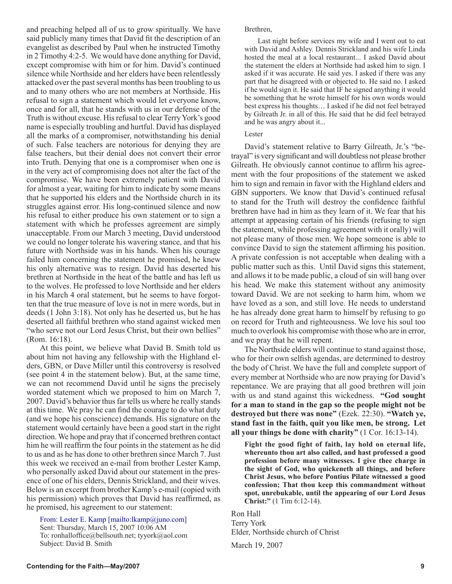and preaching helped all of us to grow spiritually. We have said publicly many times that David fit the description of an evangelist as described by Paul when he instructed Timothy in 2 Timothy 4:2-5. We would have done anything for David, except compromise with him or for him. David's continued silence while Northside and her elders have been relentlessly attacked over the past several months has been troubling to us and to many others who are not members at Northside. His refusal to sign a statement which would let everyone know, once and for all, that he stands with us in our defense of the Truth is without excuse. His refusal to clear Terry York's good name is especially troubling and hurtful. David has displayed all the marks of a compromiser, notwithstanding his denial of such. False teachers are notorious for denying they are false teachers, but their denial does not convert their error into Truth. Denying that one is a compromiser when one is in the very act of compromising does not alter the fact of the compromise. We have been extremely patient with David for almost a year, waiting for him to indicate by some means that he supported his elders and the Northside church in its struggles against error. His long-continued silence and now his refusal to either produce his own statement or to sign a statement with which he professes agreement are simply unacceptable. From our March 3 meeting, David understood we could no longer tolerate his wavering stance, and that his future with Northside was in his hands. When his courage failed him concerning the statement he promised, he knew his only alternative was to resign. David has deserted his brethren at Northside in the heat of the battle and has left us to the wolves. He professed to love Northside and her elders in his March 4 oral statement, but he seems to have forgotten that the true measure of love is not in mere words, but in deeds (1 John 3:18). Not only has he deserted us, but he has deserted all faithful brethren who stand against wicked men "who serve not our Lord Jesus Christ, but their own bellies" (Rom. 16:18).

At this point, we believe what David B. Smith told us about him not having any fellowship with the Highland elders, GBN, or Dave Miller until this controversy is resolved (see point 4 in the statement below). But, at the same time, we can not recommend David until he signs the precisely worded statement which we proposed to him on March 7, 2007. David's behavior thus far tells us where he really stands at this time. We pray he can find the courage to do what duty (and we hope his conscience) demands. His signature on the statement would certainly have been a good start in the right direction. We hope and pray that if concerned brethren contact him he will reaffirm the four points in the statement as he did to us and as he has done to other brethren since March 7. Just this week we received an e-mail from brother Lester Kamp, who personally asked David about our statement in the presence of one of his elders, Dennis Strickland, and their wives. Below is an excerpt from brother Kamp's e-mail (copied with his permission) which proves that David has reaffirmed, as he promised, his agreement to our statement:

From: Lester E. Kamp [mailto:lkamp@juno.com] Sent: Thursday, March 15, 2007 10:06 AM To: ronhalloffice@bellsouth.net; tyyork@aol.com Subject: David B. Smith

#### Brethren,

Last night before services my wife and I went out to eat with David and Ashley. Dennis Strickland and his wife Linda hosted the meal at a local restaurant... I asked David about the statement the elders at Northside had asked him to sign. I asked if it was accurate. He said yes. I asked if there was any part that he disagreed with or objected to. He said no. I asked if he would sign it. He said that IF he signed anything it would be something that he wrote himself for his own words would best express his thoughts… I asked if he did not feel betrayed by Gilreath Jr. in all of this. He said that he did feel betrayed and he was angry about it...

### Lester

David's statement relative to Barry Gilreath, Jr.'s "betrayal" is very significant and will doubtless not please brother Gilreath. He obviously cannot continue to affirm his agreement with the four propositions of the statement we asked him to sign and remain in favor with the Highland elders and GBN supporters. We know that David's continued refusal to stand for the Truth will destroy the confidence faithful brethren have had in him as they learn of it. We fear that his attempt at appeasing certain of his friends (refusing to sign the statement, while professing agreement with it orally) will not please many of those men. We hope someone is able to convince David to sign the statement affirming his position. A private confession is not acceptable when dealing with a public matter such as this. Until David signs this statement, and allows it to be made public, a cloud of sin will hang over his head. We make this statement without any animosity toward David. We are not seeking to harm him, whom we have loved as a son, and still love. He needs to understand he has already done great harm to himself by refusing to go on record for Truth and righteousness. We love his soul too much to overlook his compromise with those who are in error, and we pray that he will repent.

The Northside elders will continue to stand against those, who for their own selfish agendas, are determined to destroy the body of Christ. We have the full and complete support of every member at Northside who are now praying for David's repentance. We are praying that all good brethren will join with us and stand against this wickedness. **"God sought for a man to stand in the gap so the people might not be destroyed but there was none"** (Ezek. 22:30). **"Watch ye, stand fast in the faith, quit you like men, be strong. Let all your things be done with charity"** (1 Cor. 16:13-14).

**Fight the good fight of faith, lay hold on eternal life, whereunto thou art also called, and hast professed a good profession before many witnesses. I give thee charge in the sight of God, who quickeneth all things, and before Christ Jesus, who before Pontius Pilate witnessed a good confession; That thou keep this commandment without spot, unrebukable, until the appearing of our Lord Jesus Christ:"** (1 Tim 6:12-14).

Ron Hall Terry York Elder, Northside church of Christ

March 19, 2007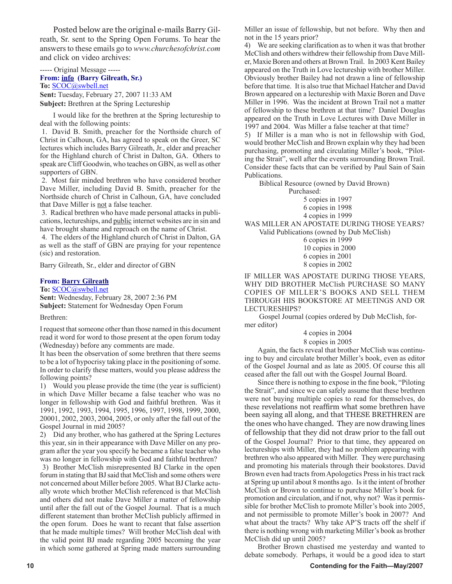Posted below are the original e-mails Barry Gilreath, Sr. sent to the Spring Open Forums. To hear the answers to these emails go to *www.churchesofchrist.com* and click on video archives:

----- Original Message -----

## **From: info (Barry Gilreath, Sr.)**

**To:** SCOC@swbell.net **Sent:** Tuesday, February 27, 2007 11:33 AM **Subject:** Brethren at the Spring Lectureship

I would like for the brethren at the Spring lectureship to deal with the following points:

1. David B. Smith, preacher for the Northside church of Christ in Calhoun, GA, has agreed to speak on the Greer, SC lectures which includes Barry Gilreath, Jr., elder and preacher for the Highland church of Christ in Dalton, GA. Others to speak are Cliff Goodwin, who teaches on GBN, as well as other supporters of GBN.

2. Most fair minded brethren who have considered brother Dave Miller, including David B. Smith, preacher for the Northside church of Christ in Calhoun, GA, have concluded that Dave Miller is not a false teacher.

3. Radical brethren who have made personal attacks in publications, lectureships, and public internet websites are in sin and have brought shame and reproach on the name of Christ.

4. The elders of the Highland church of Christ in Dalton, GA as well as the staff of GBN are praying for your repentence (sic) and restoration.

Barry Gilreath, Sr., elder and director of GBN

## **From: Barry Gilreath**

**To:** SCOC@swbell.net

**Sent:** Wednesday, February 28, 2007 2:36 PM **Subject:** Statement for Wednesday Open Forum

Brethren:

I request that someone other than those named in this document read it word for word to those present at the open forum today (Wednesday) before any comments are made.

It has been the observation of some brethren that there seems to be a lot of hypocrisy taking place in the positioning of some. In order to clarify these matters, would you please address the following points?

1) Would you please provide the time (the year is sufficient) in which Dave Miller became a false teacher who was no longer in fellowship with God and faithful brethren. Was it 1991, 1992, 1993, 1994, 1995, 1996, 1997, 1998, 1999, 2000, 20001, 2002, 2003, 2004, 2005, or only after the fall out of the Gospel Journal in mid 2005?

2) Did any brother, who has gathered at the Spring Lectures this year, sin in their appearance with Dave Miller on any program after the year you specify he became a false teacher who was no longer in fellowship with God and faithful brethren?

3) Brother McClish misrepresented BJ Clarke in the open forum in stating that BJ said that McClish and some others were not concerned about Miller before 2005. What BJ Clarke actually wrote which brother McClish referenced is that McClish and others did not make Dave Miller a matter of fellowship until after the fall out of the Gospel Journal. That is a much different statement than brother McClish publicly affirmed in the open forum. Does he want to recant that false assertion that he made multiple times? Will brother McClish deal with the valid point BJ made regarding 2005 becoming the year in which some gathered at Spring made matters surrounding

Miller an issue of fellowship, but not before. Why then and not in the 15 years prior?

4) We are seeking clarification as to when it was that brother McClish and others withdrew their fellowship from Dave Miller, Maxie Boren and others at Brown Trail. In 2003 Kent Bailey appeared on the Truth in Love lectureship with brother Miller. Obviously brother Bailey had not drawn a line of fellowship before that time. It is also true that Michael Hatcher and David Brown appeared on a lectureship with Maxie Boren and Dave Miller in 1996. Was the incident at Brown Trail not a matter of fellowship to these brethren at that time? Daniel Douglas appeared on the Truth in Love Lectures with Dave Miller in 1997 and 2004. Was Miller a false teacher at that time?

5) If Miller is a man who is not in fellowship with God, would brother McClish and Brown explain why they had been purchasing, promoting and circulating Miller's book, "Piloting the Strait", well after the events surrounding Brown Trail. Consider these facts that can be verified by Paul Sain of Sain Publications.

 Biblical Resource (owned by David Brown) Purchased:

5 copies in 1997

6 copies in 1998

4 copies in 1999

WAS MILLER AN APOSTATE DURING THOSE YEARS? Valid Publications (owned by Dub McClish)

 6 copies in 1999 10 copies in 2000 6 copies in 2001 8 copies in 2002

IF MILLER WAS APOSTATE DURING THOSE YEARS, WHY DID BROTHER McClish PURCHASE SO MANY COPIES OF MILLER'S BOOKS AND SELL THEM THROUGH HIS BOOKSTORE AT MEETINGS AND OR LECTURESHIPS?

 Gospel Journal (copies ordered by Dub McClish, former editor)

4 copies in 2004

8 copies in 2005

Again, the facts reveal that brother McClish was continuing to buy and circulate brother Miller's book, even as editor of the Gospel Journal and as late as 2005. Of course this all ceased after the fall out with the Gospel Journal Board.

Since there is nothing to expose in the fine book, "Piloting the Strait", and since we can safely assume that these brethren were not buying multiple copies to read for themselves, do these revelations not reaffirm what some brethren have been saying all along, and that THESE BRETHREN are the ones who have changed. They are now drawing lines of fellowship that they did not draw prior to the fall out of the Gospel Journal? Prior to that time, they appeared on lectureships with Miller, they had no problem appearing with brethren who also appeared with Miller. They were purchasing and promoting his materials through their bookstores. David Brown even had tracts from Apologetics Press in his tract rack at Spring up until about 8 months ago. Is it the intent of brother McClish or Brown to continue to purchase Miller's book for promotion and circulation, and if not, why not? Was it permissible for brother McClish to promote Miller's book into 2005, and not permissible to promote Miller's book in 2007? And what about the tracts? Why take AP'S tracts off the shelf if there is nothing wrong with marketing Miller's book as brother McClish did up until 2005?

Brother Brown chastised me yesterday and wanted to debate somebody. Perhaps, it would be a good idea to start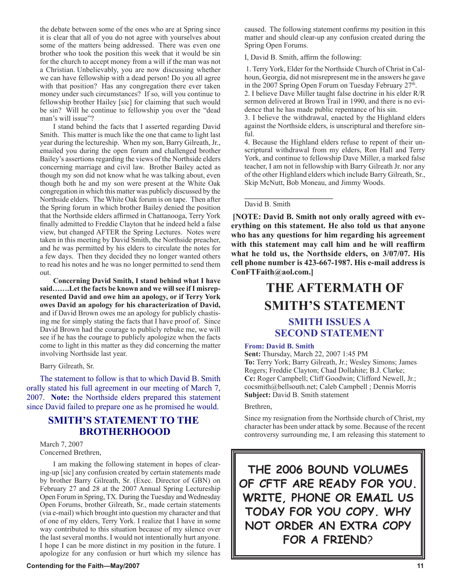the debate between some of the ones who are at Spring since it is clear that all of you do not agree with yourselves about some of the matters being addressed. There was even one brother who took the position this week that it would be sin for the church to accept money from a will if the man was not a Christian. Unbelievably, you are now discussing whether we can have fellowship with a dead person! Do you all agree with that position? Has any congregation there ever taken money under such circumstances? If so, will you continue to fellowship brother Hailey [sic] for claiming that such would be sin? Will he continue to fellowship you over the "dead man's will issue"?

I stand behind the facts that I asserted regarding David Smith. This matter is much like the one that came to light last year during the lectureship. When my son, Barry Gilreath, Jr., emailed you during the open forum and challenged brother Bailey's assertions regarding the views of the Northside elders concerning marriage and civil law. Brother Bailey acted as though my son did not know what he was talking about, even though both he and my son were present at the White Oak congregation in which this matter was publicly discussed by the Northside elders. The White Oak forum is on tape. Then after the Spring forum in which brother Bailey denied the position that the Northside elders affirmed in Chattanooga, Terry York finally admitted to Freddie Clayton that he indeed held a false view, but changed AFTER the Spring Lectures. Notes were taken in this meeting by David Smith, the Northside preacher, and he was permitted by his elders to circulate the notes for a few days. Then they decided they no longer wanted others to read his notes and he was no longer permitted to send them out.

**Concerning David Smith, I stand behind what I have said…….Let the facts be known and we will see if I misrepresented David and owe him an apology, or if Terry York owes David an apology for his characterization of David,**  and if David Brown owes me an apology for publicly chastising me for simply stating the facts that I have proof of. Since David Brown had the courage to publicly rebuke me, we will see if he has the courage to publicly apologize when the facts come to light in this matter as they did concerning the matter involving Northside last year.

Barry Gilreath, Sr.

The statement to follow is that to which David B. Smith orally stated his full agreement in our meeting of March 7, 2007. **Note:** the Northside elders prepared this statement since David failed to prepare one as he promised he would.

## **SMITH'S STATEMENT TO THE BROTHERHOOOD**

March 7, 2007 Concerned Brethren,

I am making the following statement in hopes of clearing-up [sic] any confusion created by certain statements made by brother Barry Gilreath, Sr. (Exec. Director of GBN) on February 27 and 28 at the 2007 Annual Spring Lectureship Open Forum in Spring, TX. During the Tuesday and Wednesday Open Forums, brother Gilreath, Sr., made certain statements (via e-mail) which brought into question my character and that of one of my elders, Terry York. I realize that I have in some way contributed to this situation because of my silence over the last several months. I would not intentionally hurt anyone. I hope I can be more distinct in my position in the future. I apologize for any confusion or hurt which my silence has

#### **Contending for the Faith—May/2007 11**

caused. The following statement confirms my position in this matter and should clear-up any confusion created during the Spring Open Forums.

I, David B. Smith, affirm the following:

1. Terry York, Elder for the Northside Church of Christ in Calhoun, Georgia, did not misrepresent me in the answers he gave in the 2007 Spring Open Forum on Tuesday February  $27<sup>th</sup>$ .

2. I believe Dave Miller taught false doctrine in his elder R/R sermon delivered at Brown Trail in 1990, and there is no evidence that he has made public repentance of his sin.

3. I believe the withdrawal, enacted by the Highland elders against the Northside elders, is unscriptural and therefore sinful.

4. Because the Highland elders refuse to repent of their unscriptural withdrawal from my elders, Ron Hall and Terry York, and continue to fellowship Dave Miller, a marked false teacher, I am not in fellowship with Barry Gilreath Jr. nor any of the other Highland elders which include Barry Gilreath, Sr., Skip McNutt, Bob Moneau, and Jimmy Woods.

David B. Smith

**\_\_\_\_\_\_\_\_\_\_\_\_\_\_\_\_\_\_\_\_\_\_\_\_**

**[NOTE: David B. Smith not only orally agreed with everything on this statement. He also told us that anyone who has any questions for him regarding his agreement with this statement may call him and he will reaffirm what he told us, the Northside elders, on 3/07/07. His cell phone number is 423-667-1987. His e-mail address is ConFTFaith@aol.com.]**

## **THE AFTERMATH OF SMITH'S STATEMENT**

## **SMITH ISSUES A SECOND STATEMENT**

#### **From: David B. Smith**

**Sent:** Thursday, March 22, 2007 1:45 PM **To:** Terry York; Barry Gilreath, Jr.; Wesley Simons; James Rogers; Freddie Clayton; Chad Dollahite; B.J. Clarke; **Cc:** Roger Campbell; Cliff Goodwin; Clifford Newell, Jr.; cocsmith@bellsouth.net; Caleb Campbell ; Dennis Morris **Subject:** David B. Smith statement

Brethren,

Since my resignation from the Northside church of Christ, my character has been under attack by some. Because of the recent controversy surrounding me, I am releasing this statement to

**THE 2006 BOUND VOLUMES OF CFTF ARE READY FOR YOU. WRITE, PHONE OR EMAIL US TODAY FOR YOU COPY. WHY NOT ORDER AN EXTRA COPY FOR A FRIEND**?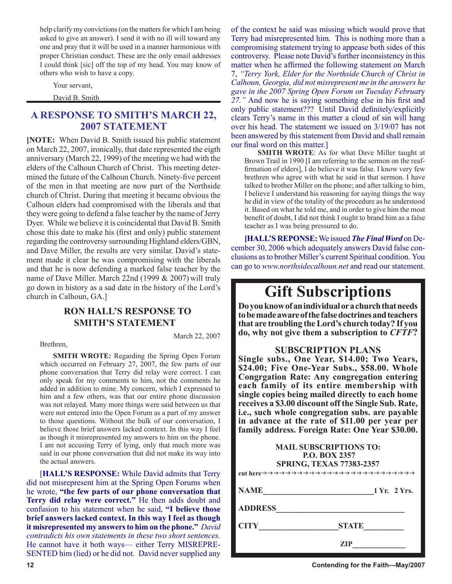help clarify my convictions (on the matters for which I am being asked to give an answer). I send it with no ill will toward any one and pray that it will be used in a manner harmonious with proper Christian conduct. These are the only email addresses I could think [sic] off the top of my head. You may know of others who wish to have a copy.

Your servant,

David B. Smith

## **A RESPONSE TO SMITH'S MARCH 22, 2007 STATEMENT**

**[NOTE:** When David B. Smith issued his public statement on March 22, 2007, ironically, that date represented the eigth anniversary (March 22, 1999) of the meeting we had with the elders of the Calhoun Church of Christ. This meeting determined the future of the Calhoun Church. Ninety-five percent of the men in that meeting are now part of the Northside church of Christ. During that meeting it became obvious the Calhoun elders had compromised with the liberals and that they were going to defend a false teacher by the name of Jerry Dyer. While we believe it is coincidental that David B. Smith chose this date to make his (first and only) public statement regarding the controversy surrounding Highland elders/GBN, and Dave Miller, the results are very similar. David's statement made it clear he was compromising with the liberals and that he is now defending a marked false teacher by the name of Dave Miller. March 22nd (1999 & 2007) will truly go down in history as a sad date in the history of the Lord's church in Calhoun, GA.]

## **RON HALL'S RESPONSE TO SMITH'S STATEMENT**

Brethren,

March 22, 2007

**SMITH WROTE:** Regarding the Spring Open Forum which occurred on February 27, 2007, the few parts of our phone conversation that Terry did relay were correct. I can only speak for my comments to him, not the comments he added in addition to mine. My concern, which I expressed to him and a few others, was that our entire phone discussion was not relayed. Many more things were said between us that were not entered into the Open Forum as a part of my answer to those questions. Without the bulk of our conversation, I believe those brief answers lacked context. In this way I feel as though it misrepresented my answers to him on the phone. I am not accusing Terry of lying, only that much more was said in our phone conversation that did not make its way into the actual answers.

[**HALL'S RESPONSE:** While David admits that Terry did not misrepresent him at the Spring Open Forums when he wrote, **"the few parts of our phone conversation that Terry did relay were correct."** He then adds doubt and confusion to his statement when he said, **"I believe those brief answers lacked context. In this way I feel as though it misrepresented my answers to him on the phone."** *David contradicts his own statements in these two short sentences.* He cannot have it both ways— either Terry MISREPRE-SENTED him (lied) or he did not. David never supplied any

of the context he said was missing which would prove that Terry had misrepresented him. This is nothing more than a compromising statement trying to appease both sides of this controversy. Please note David's further inconsistency in this matter when he affirmed the following statement on March 7, *"Terry York, Elder for the Northside Church of Christ in Calhoun, Georgia, did not misrepresent me in the answers he gave in the 2007 Spring Open Forum on Tuesday Februa*ry *27."* And now he is saying something else in his first and only public statement??? Until David definitely/explicitly clears Terry's name in this matter a cloud of sin will hang over his head. The statement we issued on 3/19/07 has not been answered by this statement from David and shall remain our final word on this matter.]

**SMITH WROTE**: As for what Dave Miller taught at Brown Trail in 1990 [I am referring to the sermon on the reaffirmation of elders], I do believe it was false. I know very few brethren who agree with what he said in that sermon. I have talked to brother Miller on the phone; and after talking to him, I believe I understand his reasoning for saying things the way he did in view of the totality of the procedure as he understood it. Based on what he told me, and in order to give him the most benefit of doubt, I did not think I ought to brand him as a false teacher as I was being pressured to do.

**[HALL'S REPONSE:** We issued *The Final Word* on December 30, 2006 which adequately answers David false conclusions as to brother Miller's current Spiritual condition. You can go to *www.northsidecalhoun.net* and read our statement.

## **Gift Subscriptions**

**Do you know of an individual or a church that needs to be made aware of the false doctrines and teachers that are troubling the Lord's church today? If you do, why not give them a subscription to** *CFTF***?**

## **SUBSCRIPTION PLANS**

**Single subs., One Year, \$14.00; Two Years, \$24.00; Five One-Year Subs., \$58.00. Whole Congrgation Rate: Any congregation entering each family of its entire membership with single copies being mailed directly to each home receives a \$3.00 discount off the Single Sub. Rate, i.e., such whole congregation subs. are payable in advance at the rate of \$11.00 per year per family address. Foreign Rate: One Year \$30.00.**

|                | <b>MAIL SUBSCRIPTIONS TO:</b><br><b>P.O. BOX 2357</b><br><b>SPRING, TEXAS 77383-2357</b> |
|----------------|------------------------------------------------------------------------------------------|
| <b>NAME</b>    | 1 Yr. 2 Yrs.                                                                             |
| <b>ADDRESS</b> |                                                                                          |
| <b>CITY</b>    | <b>STATE</b>                                                                             |
|                | ZIP                                                                                      |

**12 Contending for the Faith—May/2007**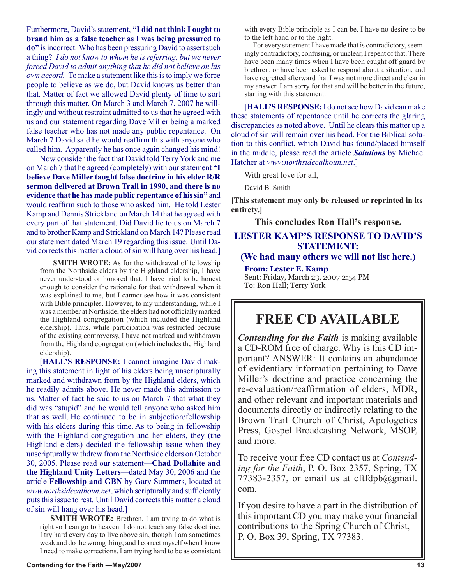Furthermore, David's statement, **"I did not think I ought to brand him as a false teacher as I was being pressured to do"** is incorrect. Who has been pressuring David to assert such a thing? *I do not know to whom he is referring, but we never forced David to admit anything that he did not believe on his own accord.* To make a statement like this is to imply we force people to believe as we do, but David knows us better than that. Matter of fact we allowed David plenty of time to sort through this matter. On March 3 and March 7, 2007 he willingly and without restraint admitted to us that he agreed with us and our statement regarding Dave Miller being a marked false teacher who has not made any public repentance. On March 7 David said he would reaffirm this with anyone who called him. Apparently he has once again changed his mind!

Now consider the fact that David told Terry York and me on March 7 that he agreed (completely) with our statement **"I believe Dave Miller taught false doctrine in his elder R/R sermon delivered at Brown Trail in 1990, and there is no evidence that he has made public repentance of his sin"** and would reaffirm such to those who asked him. He told Lester Kamp and Dennis Strickland on March 14 that he agreed with every part of that statement. Did David lie to us on March 7 and to brother Kamp and Strickland on March 14? Please read our statement dated March 19 regarding this issue. Until David corrects this matter a cloud of sin will hang over his head.]

**SMITH WROTE:** As for the withdrawal of fellowship from the Northside elders by the Highland eldership, I have never understood or honored that. I have tried to be honest enough to consider the rationale for that withdrawal when it was explained to me, but I cannot see how it was consistent with Bible principles. However, to my understanding, while I was a member at Northside, the elders had not officially marked the Highland congregation (which included the Highland eldership). Thus, while participation was restricted because of the existing controversy, I have not marked and withdrawn from the Highland congregation (which includes the Highland eldership).

[**HALL'S RESPONSE:** I cannot imagine David making this statement in light of his elders being unscripturally marked and withdrawn from by the Highland elders, which he readily admits above. He never made this admission to us. Matter of fact he said to us on March 7 that what they did was "stupid" and he would tell anyone who asked him that as well. He continued to be in subjection/fellowship with his elders during this time. As to being in fellowship with the Highland congregation and her elders, they (the Highland elders) decided the fellowship issue when they unscripturally withdrew from the Northside elders on October 30, 2005. Please read our statement—**Chad Dollahite and the Highland Unity Letters—**dated May 30, 2006 and the article **Fellowship and GBN** by Gary Summers, located at *www.northsidecalhoun.net*, which scripturally and sufficiently puts this issue to rest. Until David corrects this matter a cloud of sin will hang over his head.]

SMITH WROTE: Brethren, I am trying to do what is right so I can go to heaven. I do not teach any false doctrine. I try hard every day to live above sin, though I am sometimes weak and do the wrong thing; and I correct myself when I know I need to make corrections. I am trying hard to be as consistent with every Bible principle as I can be. I have no desire to be to the left hand or to the right.

 For every statement I have made that is contradictory, seemingly contradictory, confusing, or unclear, I repent of that. There have been many times when I have been caught off guard by brethren, or have been asked to respond about a situation, and have regretted afterward that I was not more direct and clear in my answer. I am sorry for that and will be better in the future, starting with this statement.

[**HALL'S RESPONSE:** I do not see how David can make these statements of repentance until he corrects the glaring discrepancies as noted above. Until he clears this matter up a cloud of sin will remain over his head. For the Biblical solution to this conflict, which David has found/placed himself in the middle, please read the article *Solutions* by Michael Hatcher at *www.northsidecalhoun.net*.]

With great love for all,

David B. Smith

**[This statement may only be released or reprinted in its entirety.]**

**This concludes Ron Hall's response.**

## **LESTER KAMP'S RESPONSE TO DAVID'S STATEMENT:**

## **(We had many others we will not list here.)**

**From: Lester E. Kamp**  Sent: Friday, March 23, 2007 2:54 PM To: Ron Hall; Terry York

## **FREE CD AVAILABLE**

*Contending for the Faith* is making available a CD-ROM free of charge. Why is this CD important? ANSWER: It contains an abundance of evidentiary information pertaining to Dave Miller's doctrine and practice concerning the re-evaluation/reaffirmation of elders, MDR, and other relevant and important materials and documents directly or indirectly relating to the Brown Trail Church of Christ, Apologetics Press, Gospel Broadcasting Network, MSOP, and more.

To receive your free CD contact us at *Contending for the Faith*, P. O. Box 2357, Spring, TX 77383-2357, or email us at cftfdpb@gmail. com.

If you desire to have a part in the distribution of this important CD you may make your financial contributions to the Spring Church of Christ, P. O. Box 39, Spring, TX 77383.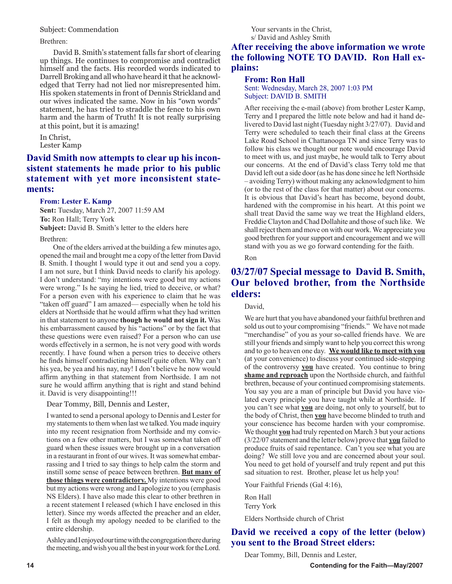#### Subject: Commendation

Brethren:

David B. Smith's statement falls far short of clearing up things. He continues to compromise and contradict himself and the facts. His recorded words indicated to Darrell Broking and all who have heard it that he acknowledged that Terry had not lied nor misrepresented him. His spoken statements in front of Dennis Strickland and our wives indicated the same. Now in his "own words" statement, he has tried to straddle the fence to his own harm and the harm of Truth! It is not really surprising at this point, but it is amazing!

In Christ, Lester Kamp

## **David Smith now attempts to clear up his inconsistent statements he made prior to his public statement with yet more inconsistent statements:**

#### **From: Lester E. Kamp**

**Sent:** Tuesday, March 27, 2007 11:59 AM **To:** Ron Hall; Terry York **Subject:** David B. Smith's letter to the elders here

Brethren:

One of the elders arrived at the building a few minutes ago, opened the mail and brought me a copy of the letter from David B. Smith. I thought I would type it out and send you a copy. I am not sure, but I think David needs to clarify his apology. I don't understand: "my intentions were good but my actions were wrong." Is he saying he lied, tried to deceive, or what? For a person even with his experience to claim that he was "taken off guard" I am amazed— especially when he told his elders at Northside that he would affirm what they had written in that statement to anyone **though he would not sign it.** Was his embarrassment caused by his "actions" or by the fact that these questions were even raised? For a person who can use words effectively in a sermon, he is not very good with words recently. I have found when a person tries to deceive others he finds himself contradicting himself quite often. Why can't his yea, be yea and his nay, nay! I don't believe he now would affirm anything in that statement from Northside. I am not sure he would affirm anything that is right and stand behind it. David is very disappointing!!!

Dear Tommy, Bill, Dennis and Lester,

I wanted to send a personal apology to Dennis and Lester for my statements to them when last we talked. You made inquiry into my recent resignation from Northside and my convictions on a few other matters, but I was somewhat taken off guard when these issues were brought up in a conversation in a restaurant in front of our wives. It was somewhat embarrassing and I tried to say things to help calm the storm and instill some sense of peace between brethren. **But many of those things were contradictory.** My intentions were good but my actions were wrong and I apologize to you (emphasis NS Elders). I have also made this clear to other brethren in a recent statement I released (which I have enclosed in this letter). Since my words affected the preacher and an elder, I felt as though my apology needed to be clarified to the entire eldership.

Ashley and I enjoyed our time with the congregation there during the meeting, and wish you all the best in your work for the Lord.

Your servants in the Christ, s/ David and Ashley Smith

## **After receiving the above information we wrote the following NOTE TO DAVID. Ron Hall explains:**

### **From: Ron Hall**

Sent: Wednesday, March 28, 2007 1:03 PM Subject: DAVID B. SMITH

After receiving the e-mail (above) from brother Lester Kamp, Terry and I prepared the little note below and had it hand delivered to David last night (Tuesday night 3/27/07). David and Terry were scheduled to teach their final class at the Greens Lake Road School in Chattanooga TN and since Terry was to follow his class we thought our note would encourage David to meet with us, and just maybe, he would talk to Terry about our concerns. At the end of David's class Terry told me that David left out a side door (as he has done since he left Northside – avoiding Terry) without making any acknowledgment to him (or to the rest of the class for that matter) about our concerns. It is obvious that David's heart has become, beyond doubt, hardened with the compromise in his heart. At this point we shall treat David the same way we treat the Highland elders, Freddie Clayton and Chad Dollahite and those of such like. We shall reject them and move on with our work. We appreciate you good brethren for your support and encouragement and we will stand with you as we go forward contending for the faith.

Ron

## **03/27/07 Special message to David B. Smith, Our beloved brother, from the Northside elders:**

#### David,

We are hurt that you have abandoned your faithful brethren and sold us out to your compromising "friends." We have not made "merchandise" of you as your so-called friends have. We are still your friends and simply want to help you correct this wrong and to go to heaven one day. **We would like to meet with you** (at your convenience) to discuss your continued side-stepping of the controversy **you** have created. You continue to bring **shame and reproach** upon the Northside church, and faithful brethren, because of your continued compromising statements. You say you are a man of principle but David you have violated every principle you have taught while at Northside. If you can't see what **you** are doing, not only to yourself, but to the body of Christ, then **you** have become blinded to truth and your conscience has become harden with your compromise. We thought **you** had truly repented on March 3 but your actions (3/22/07 statement and the letter below) prove that **you** failed to produce fruits of said repentance. Can't you see what you are doing? We still love you and are concerned about your soul. You need to get hold of yourself and truly repent and put this sad situation to rest. Brother, please let us help you!

Your Faithful Friends (Gal 4:16),

Ron Hall Terry York

Elders Northside church of Christ

## **David we received a copy of the letter (below) you sent to the Broad Street elders:**

Dear Tommy, Bill, Dennis and Lester,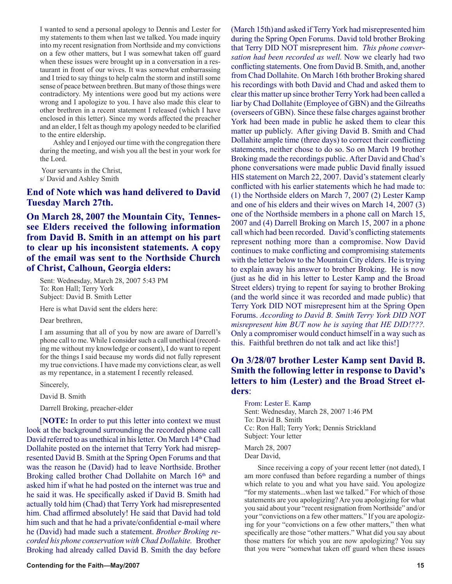I wanted to send a personal apology to Dennis and Lester for my statements to them when last we talked. You made inquiry into my recent resignation from Northside and my convictions on a few other matters, but I was somewhat taken off guard when these issues were brought up in a conversation in a restaurant in front of our wives. It was somewhat embarrassing and I tried to say things to help calm the storm and instill some sense of peace between brethren. But many of those things were contradictory. My intentions were good but my actions were wrong and I apologize to you. I have also made this clear to other brethren in a recent statement I released (which I have enclosed in this letter). Since my words affected the preacher and an elder, I felt as though my apology needed to be clarified to the entire eldership.

Ashley and I enjoyed our time with the congregation there during the meeting, and wish you all the best in your work for the Lord.

Your servants in the Christ, s/ David and Ashley Smith

## **End of Note which was hand delivered to David Tuesday March 27th.**

**On March 28, 2007 the Mountain City, Tennessee Elders received the following information from David B. Smith in an attempt on his part to clear up his inconsistent statements. A copy of the email was sent to the Northside Church of Christ, Calhoun, Georgia elders:**

Sent: Wednesday, March 28, 2007 5:43 PM To: Ron Hall; Terry York Subject: David B. Smith Letter

Here is what David sent the elders here:

Dear brethren,

I am assuming that all of you by now are aware of Darrell's phone call to me. While I consider such a call unethical (recording me without my knowledge or consent), I do want to repent for the things I said because my words did not fully represent my true convictions. I have made my convictions clear, as well as my repentance, in a statement I recently released.

Sincerely,

David B. Smith

Darrell Broking, preacher-elder

[**NOTE:** In order to put this letter into context we must look at the background surrounding the recorded phone call David referred to as unethical in his letter. On March 14<sup>th</sup> Chad Dollahite posted on the internet that Terry York had misrepresented David B. Smith at the Spring Open Forums and that was the reason he (David) had to leave Northside. Brother Broking called brother Chad Dollahite on March 16<sup>th</sup> and asked him if what he had posted on the internet was true and he said it was. He specifically asked if David B. Smith had actually told him (Chad) that Terry York had misrepresented him. Chad affirmed absolutely! He said that David had told him such and that he had a private/confidential e-mail where he (David) had made such a statement. *Brother Broking recorded his phone conservation with Chad Dollahite.* Brother Broking had already called David B. Smith the day before

#### **Contending for the Faith—May/2007 15 and 2008 15 and 2008 15 and 2008 16 and 2008 16 and 2008 16 and 2008 16 and 2008 16 and 2008 16 and 2008 16 and 2008 16 and 2008 16 and 2008 16 and 2008 16 and 2008 16 and 2008 16 and**

(March 15th) and asked if Terry York had misrepresented him during the Spring Open Forums. David told brother Broking that Terry DID NOT misrepresent him. *This phone conversation had been recorded as well.* Now we clearly had two conflicting statements. One from David B. Smith, and, another from Chad Dollahite. On March 16th brother Broking shared his recordings with both David and Chad and asked them to clear this matter up since brother Terry York had been called a liar by Chad Dollahite (Employee of GBN) and the Gilreaths (overseers of GBN). Since these false charges against brother York had been made in public he asked them to clear this matter up publicly. After giving David B. Smith and Chad Dollahite ample time (three days) to correct their conflicting statements, neither chose to do so. So on March 19 brother Broking made the recordings public. After David and Chad's phone conversations were made public David finally issued HIS statement on March 22, 2007. David's statement clearly conflicted with his earlier statements which he had made to: (1) the Northside elders on March 7, 2007 (2) Lester Kamp and one of his elders and their wives on March 14, 2007 (3) one of the Northside members in a phone call on March 15, 2007 and (4) Darrell Broking on March 15, 2007 in a phone call which had been recorded. David's conflicting statements represent nothing more than a compromise. Now David continues to make conflicting and compromising statements with the letter below to the Mountain City elders. He is trying to explain away his answer to brother Broking. He is now (just as he did in his letter to Lester Kamp and the Broad Street elders) trying to repent for saying to brother Broking (and the world since it was recorded and made public) that Terry York DID NOT misrepresent him at the Spring Open Forums. *According to David B. Smith Terry York DID NOT misrepresent him BUT now he is saying that HE DID!???.* Only a compromiser would conduct himself in a way such as this. Faithful brethren do not talk and act like this!]

## **On 3/28/07 brother Lester Kamp sent David B. Smith the following letter in response to David's letters to him (Lester) and the Broad Street elders**:

From: Lester E. Kamp Sent: Wednesday, March 28, 2007 1:46 PM To: David B. Smith Cc: Ron Hall; Terry York; Dennis Strickland Subject: Your letter March 28, 2007 Dear David,

Since receiving a copy of your recent letter (not dated), I am more confused than before regarding a number of things which relate to you and what you have said. You apologize "for my statements...when last we talked." For which of those statements are you apologizing? Are you apologizing for what you said about your "recent resignation from Northside" and/or your "convictions on a few other matters." If you are apologizing for your "convictions on a few other matters," then what specifically are those "other matters." What did you say about those matters for which you are now apologizing? You say that you were "somewhat taken off guard when these issues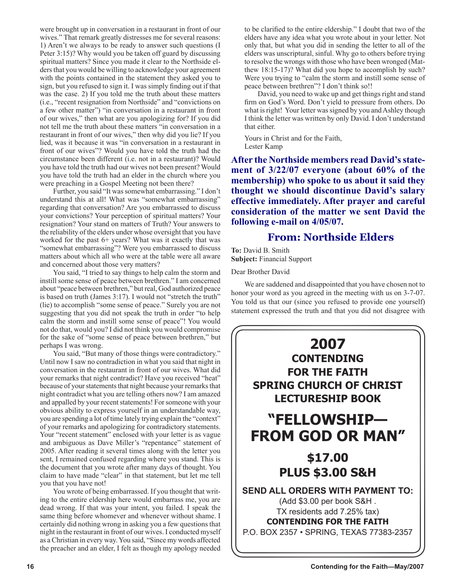were brought up in conversation in a restaurant in front of our wives." That remark greatly distresses me for several reasons: 1) Aren't we always to be ready to answer such questions (I Peter 3:15)? Why would you be taken off guard by discussing spiritual matters? Since you made it clear to the Northside elders that you would be willing to acknowledge your agreement with the points contained in the statement they asked you to sign, but you refused to sign it. I was simply finding out if that was the case. 2) If you told me the truth about these matters (i.e., "recent resignation from Northside" and "convictions on a few other matter") "in conversation in a restaurant in front of our wives," then what are you apologizing for? If you did not tell me the truth about these matters "in conversation in a restaurant in front of our wives," then why did you lie? If you lied, was it because it was "in conversation in a restaurant in front of our wives"? Would you have told the truth had the circumstance been different (i.e. not in a restaurant)? Would you have told the truth had our wives not been present? Would you have told the truth had an elder in the church where you were preaching in a Gospel Meeting not been there?

Further, you said "It was somewhat embarrassing." I don't understand this at all! What was "somewhat embarrassing" regarding that conversation? Are you embarrassed to discuss your convictions? Your perception of spiritual matters? Your resignation? Your stand on matters of Truth? Your answers to the reliability of the elders under whose oversight that you have worked for the past 6+ years? What was it exactly that was "somewhat embarrassing"? Were you embarrassed to discuss matters about which all who were at the table were all aware and concerned about those very matters?

You said, "I tried to say things to help calm the storm and instill some sense of peace between brethren." I am concerned about "peace between brethren," but real, God authorized peace is based on truth (James 3:17). I would not "stretch the truth" (lie) to accomplish "some sense of peace." Surely you are not suggesting that you did not speak the truth in order "to help calm the storm and instill some sense of peace"! You would not do that, would you? I did not think you would compromise for the sake of "some sense of peace between brethren," but perhaps I was wrong.

You said, "But many of those things were contradictory." Until now I saw no contradiction in what you said that night in conversation in the restaurant in front of our wives. What did your remarks that night contradict? Have you received "heat" because of your statements that night because your remarks that night contradict what you are telling others now? I am amazed and appalled by your recent statements! For someone with your obvious ability to express yourself in an understandable way, you are spending a lot of time lately trying explain the "context" of your remarks and apologizing for contradictory statements. Your "recent statement" enclosed with your letter is as vague and ambiguous as Dave Miller's "repentance" statement of 2005. After reading it several times along with the letter you sent, I remained confused regarding where you stand. This is the document that you wrote after many days of thought. You claim to have made "clear" in that statement, but let me tell you that you have not!

You wrote of being embarrassed. If you thought that writing to the entire eldership here would embarrass me, you are dead wrong. If that was your intent, you failed. I speak the same thing before whomever and whenever without shame. I certainly did nothing wrong in asking you a few questions that night in the restaurant in front of our wives. I conducted myself as a Christian in every way. You said, "Since my words affected the preacher and an elder, I felt as though my apology needed

to be clarified to the entire eldership." I doubt that two of the elders have any idea what you wrote about in your letter. Not only that, but what you did in sending the letter to all of the elders was unscriptural, sinful. Why go to others before trying to resolve the wrongs with those who have been wronged (Matthew 18:15-17)? What did you hope to accomplish by such? Were you trying to "calm the storm and instill some sense of peace between brethren"? I don't think so!!

David, you need to wake up and get things right and stand firm on God's Word. Don't yield to pressure from others. Do what is right! Your letter was signed by you and Ashley though I think the letter was written by only David. I don't understand that either.

Yours in Christ and for the Faith, Lester Kamp

**After the Northside members read David's statement of 3/22/07 everyone (about 60% of the membership) who spoke to us about it said they thought we should discontinue David's salary effective immediately. After prayer and careful consideration of the matter we sent David the following e-mail on 4/05/07.** 

## **From: Northside Elders**

**To:** David B. Smith **Subject:** Financial Support

Dear Brother David

We are saddened and disappointed that you have chosen not to honor your word as you agreed in the meeting with us on 3-7-07. You told us that our (since you refused to provide one yourself) statement expressed the truth and that you did not disagree with

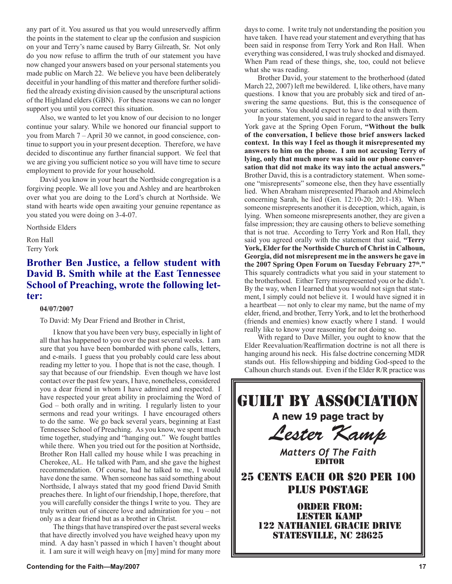any part of it. You assured us that you would unreservedly affirm the points in the statement to clear up the confusion and suspicion on your and Terry's name caused by Barry Gilreath, Sr. Not only do you now refuse to affirm the truth of our statement you have now changed your answers based on your personal statements you made public on March 22. We believe you have been deliberately deceitful in your handling of this matter and therefore further solidified the already existing division caused by the unscriptural actions of the Highland elders (GBN). For these reasons we can no longer support you until you correct this situation.

Also, we wanted to let you know of our decision to no longer continue your salary. While we honored our financial support to you from March 7 – April 30 we cannot, in good conscience, continue to support you in your present deception. Therefore, we have decided to discontinue any further financial support. We feel that we are giving you sufficient notice so you will have time to secure employment to provide for your household.

David you know in your heart the Northside congregation is a forgiving people. We all love you and Ashley and are heartbroken over what you are doing to the Lord's church at Northside. We stand with hearts wide open awaiting your genuine repentance as you stated you were doing on 3-4-07.

Northside Elders

Ron Hall Terry York

## **Brother Ben Justice, a fellow student with David B. Smith while at the East Tennessee School of Preaching, wrote the following letter:**

## **04/07/2007**

To David: My Dear Friend and Brother in Christ,

I know that you have been very busy, especially in light of all that has happened to you over the past several weeks. I am sure that you have been bombarded with phone calls, letters, and e-mails. I guess that you probably could care less about reading my letter to you. I hope that is not the case, though. I say that because of our friendship. Even though we have lost contact over the past few years, I have, nonetheless, considered you a dear friend in whom I have admired and respected. I have respected your great ability in proclaiming the Word of God – both orally and in writing. I regularly listen to your sermons and read your writings. I have encouraged others to do the same. We go back several years, beginning at East Tennessee School of Preaching. As you know, we spent much time together, studying and "hanging out." We fought battles while there. When you tried out for the position at Northside, Brother Ron Hall called my house while I was preaching in Cherokee, AL. He talked with Pam, and she gave the highest recommendation. Of course, had he talked to me, I would have done the same. When someone has said something about Northside, I always stated that my good friend David Smith preaches there. In light of our friendship, I hope, therefore, that you will carefully consider the things I write to you. They are truly written out of sincere love and admiration for you – not only as a dear friend but as a brother in Christ.

The things that have transpired over the past several weeks that have directly involved you have weighed heavy upon my mind. A day hasn't passed in which I haven't thought about it. I am sure it will weigh heavy on [my] mind for many more

days to come. I write truly not understanding the position you have taken. I have read your statement and everything that has been said in response from Terry York and Ron Hall. When everything was considered, I was truly shocked and dismayed. When Pam read of these things, she, too, could not believe what she was reading.

Brother David, your statement to the brotherhood (dated March 22, 2007) left me bewildered. I, like others, have many questions. I know that you are probably sick and tired of answering the same questions. But, this is the consequence of your actions. You should expect to have to deal with them.

In your statement, you said in regard to the answers Terry York gave at the Spring Open Forum, **"Without the bulk of the conversation, I believe those brief answers lacked context. In this way I feel as though it misrepresented my answers to him on the phone. I am not accusing Terry of lying, only that much more was said in our phone conversation that did not make its way into the actual answers."**  Brother David, this is a contradictory statement. When someone "misrepresents" someone else, then they have essentially lied. When Abraham misrepresented Pharaoh and Abimelech concerning Sarah, he lied (Gen. 12:10-20; 20:1-18). When someone misrepresents another it is deception, which, again, is lying. When someone misrepresents another, they are given a false impression; they are causing others to believe something that is not true. According to Terry York and Ron Hall, they said you agreed orally with the statement that said, **"Terry York, Elder for the Northside Church of Christ in Calhoun, Georgia, did not misrepresent me in the answers he gave in the 2007 Spring Open Forum on Tuesday February 27th."** This squarely contradicts what you said in your statement to the brotherhood. Either Terry misrepresented you or he didn't. By the way, when I learned that you would not sign that statement, I simply could not believe it. I would have signed it in a heartbeat — not only to clear my name, but the name of my elder, friend, and brother, Terry York, and to let the brotherhood (friends and enemies) know exactly where I stand. I would really like to know your reasoning for not doing so.

With regard to Dave Miller, you ought to know that the Elder Reevaluation/Reaffirmation doctrine is not all there is hanging around his neck. His false doctrine concerning MDR stands out. His fellowshipping and bidding God-speed to the Calhoun church stands out. Even if the Elder R/R practice was

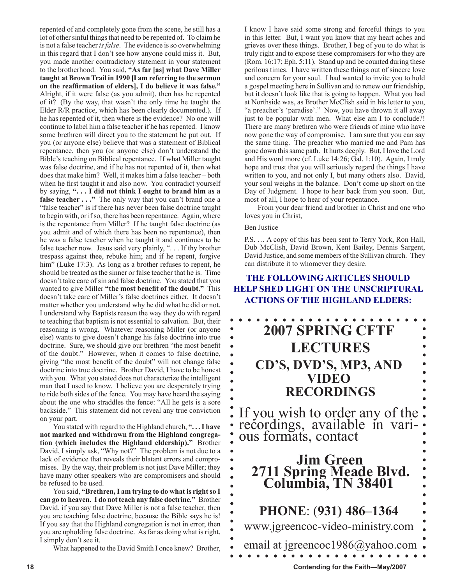repented of and completely gone from the scene, he still has a lot of other sinful things that need to be repented of. To claim he is not a false teacher *is false*. The evidence is so overwhelming in this regard that I don't see how anyone could miss it. But, you made another contradictory statement in your statement to the brotherhood. You said, **"As far [as] what Dave Miller taught at Brown Trail in 1990 [I am referring to the sermon on the reaffirmation of elders], I do believe it was false."** Alright, if it were false (as you admit), then has he repented of it? (By the way, that wasn't the only time he taught the Elder R/R practice, which has been clearly documented.). If he has repented of it, then where is the evidence? No one will continue to label him a false teacher if he has repented. I know some brethren will direct you to the statement he put out. If you (or anyone else) believe that was a statement of Biblical repentance, then you (or anyone else) don't understand the Bible's teaching on Biblical repentance. If what Miller taught was false doctrine, and if he has not repented of it, then what does that make him? Well, it makes him a false teacher – both when he first taught it and also now. You contradict yourself by saying, **". . . I did not think I ought to brand him as a false teacher . . ."** The only way that you can't brand one a "false teacher" is if there has never been false doctrine taught to begin with, or if so, there has been repentance. Again, where is the repentance from Miller? If he taught false doctrine (as you admit and of which there has been no repentance), then he was a false teacher when he taught it and continues to be false teacher now. Jesus said very plainly, ". . . If thy brother trespass against thee, rebuke him; and if he repent, forgive him" (Luke 17:3). As long as a brother refuses to repent, he should be treated as the sinner or false teacher that he is. Time doesn't take care of sin and false doctrine. You stated that you wanted to give Miller **"the most benefit of the doubt."** This doesn't take care of Miller's false doctrines either. It doesn't matter whether you understand why he did what he did or not. I understand why Baptists reason the way they do with regard to teaching that baptism is not essential to salvation. But, their reasoning is wrong. Whatever reasoning Miller (or anyone else) wants to give doesn't change his false doctrine into true doctrine. Sure, we should give our brethren "the most benefit of the doubt." However, when it comes to false doctrine, giving "the most benefit of the doubt" will not change false doctrine into true doctrine. Brother David, I have to be honest with you. What you stated does not characterize the intelligent man that I used to know. I believe you are desperately trying to ride both sides of the fence. You may have heard the saying about the one who straddles the fence: "All he gets is a sore backside." This statement did not reveal any true conviction on your part.

You stated with regard to the Highland church, **". . . I have not marked and withdrawn from the Highland congregation (which includes the Highland eldership)."** Brother David, I simply ask, "Why not?" The problem is not due to a lack of evidence that reveals their blatant errors and compromises. By the way, their problem is not just Dave Miller; they have many other speakers who are compromisers and should be refused to be used.

You said, **"Brethren, I am trying to do what is right so I can go to heaven. I do not teach any false doctrine."** Brother David, if you say that Dave Miller is not a false teacher, then you are teaching false doctrine, because the Bible says he is! If you say that the Highland congregation is not in error, then you are upholding false doctrine. As far as doing what is right, I simply don't see it.

What happened to the David Smith I once knew? Brother,

I know I have said some strong and forceful things to you in this letter. But, I want you know that my heart aches and grieves over these things. Brother, I beg of you to do what is truly right and to expose these compromisers for who they are (Rom. 16:17; Eph. 5:11). Stand up and be counted during these perilous times. I have written these things out of sincere love and concern for your soul. I had wanted to invite you to hold a gospel meeting here in Sullivan and to renew our friendship, but it doesn't look like that is going to happen. What you had at Northside was, as Brother McClish said in his letter to you, "a preacher's 'paradise'." Now, you have thrown it all away just to be popular with men. What else am I to conclude?! There are many brethren who were friends of mine who have now gone the way of compromise. I am sure that you can say the same thing. The preacher who married me and Pam has gone down this same path. It hurts deeply. But, I love the Lord and His word more (cf. Luke 14:26; Gal. 1:10). Again, I truly hope and trust that you will seriously regard the things I have written to you, and not only I, but many others also. David, your soul weighs in the balance. Don't come up short on the Day of Judgment. I hope to hear back from you soon. But, most of all, I hope to hear of your repentance.

From your dear friend and brother in Christ and one who loves you in Christ,

#### Ben Justice

 $\bullet$ 

P.S. … A copy of this has been sent to Terry York, Ron Hall, Dub McClish, David Brown, Kent Bailey, Dennis Sargent, David Justice, and some members of the Sullivan church. They can distribute it to whomever they desire.

## **THE FOLLOWING ARTICLES SHOULD HELP SHED LIGHT ON THE UNSCRIPTURAL ACTIONS OF THE HIGHLAND ELDERS:**

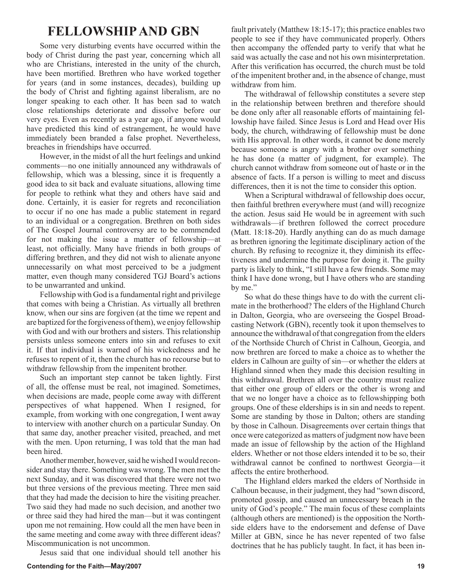## **FELLOWSHIP AND GBN**

Some very disturbing events have occurred within the body of Christ during the past year, concerning which all who are Christians, interested in the unity of the church, have been mortified. Brethren who have worked together for years (and in some instances, decades), building up the body of Christ and fighting against liberalism, are no longer speaking to each other. It has been sad to watch close relationships deteriorate and dissolve before our very eyes. Even as recently as a year ago, if anyone would have predicted this kind of estrangement, he would have immediately been branded a false prophet. Nevertheless, breaches in friendships have occurred.

However, in the midst of all the hurt feelings and unkind comments—no one initially announced any withdrawals of fellowship, which was a blessing, since it is frequently a good idea to sit back and evaluate situations, allowing time for people to rethink what they and others have said and done. Certainly, it is easier for regrets and reconciliation to occur if no one has made a public statement in regard to an individual or a congregation. Brethren on both sides of The Gospel Journal controversy are to be commended for not making the issue a matter of fellowship—at least, not officially. Many have friends in both groups of differing brethren, and they did not wish to alienate anyone unnecessarily on what most perceived to be a judgment matter, even though many considered TGJ Board's actions to be unwarranted and unkind.

Fellowship with God is a fundamental right and privilege that comes with being a Christian. As virtually all brethren know, when our sins are forgiven (at the time we repent and are baptized for the forgiveness of them), we enjoy fellowship with God and with our brothers and sisters. This relationship persists unless someone enters into sin and refuses to exit it. If that individual is warned of his wickedness and he refuses to repent of it, then the church has no recourse but to withdraw fellowship from the impenitent brother.

Such an important step cannot be taken lightly. First of all, the offense must be real, not imagined. Sometimes, when decisions are made, people come away with different perspectives of what happened. When I resigned, for example, from working with one congregation, I went away to interview with another church on a particular Sunday. On that same day, another preacher visited, preached, and met with the men. Upon returning, I was told that the man had been hired.

Another member, however, said he wished I would reconsider and stay there. Something was wrong. The men met the next Sunday, and it was discovered that there were not two but three versions of the previous meeting. Three men said that they had made the decision to hire the visiting preacher. Two said they had made no such decision, and another two or three said they had hired the man—but it was contingent upon me not remaining. How could all the men have been in the same meeting and come away with three different ideas? Miscommunication is not uncommon.

Jesus said that one individual should tell another his

fault privately (Matthew 18:15-17); this practice enables two people to see if they have communicated properly. Others then accompany the offended party to verify that what he said was actually the case and not his own misinterpretation. After this verification has occurred, the church must be told of the impenitent brother and, in the absence of change, must withdraw from him.

The withdrawal of fellowship constitutes a severe step in the relationship between brethren and therefore should be done only after all reasonable efforts of maintaining fellowship have failed. Since Jesus is Lord and Head over His body, the church, withdrawing of fellowship must be done with His approval. In other words, it cannot be done merely because someone is angry with a brother over something he has done (a matter of judgment, for example). The church cannot withdraw from someone out of haste or in the absence of facts. If a person is willing to meet and discuss differences, then it is not the time to consider this option.

When a Scriptural withdrawal of fellowship does occur, then faithful brethren everywhere must (and will) recognize the action. Jesus said He would be in agreement with such withdrawals—if brethren followed the correct procedure (Matt. 18:18-20). Hardly anything can do as much damage as brethren ignoring the legitimate disciplinary action of the church. By refusing to recognize it, they diminish its effectiveness and undermine the purpose for doing it. The guilty party is likely to think, "I still have a few friends. Some may think I have done wrong, but I have others who are standing by me."

So what do these things have to do with the current climate in the brotherhood? The elders of the Highland Church in Dalton, Georgia, who are overseeing the Gospel Broadcasting Network (GBN), recently took it upon themselves to announce the withdrawal of that congregation from the elders of the Northside Church of Christ in Calhoun, Georgia, and now brethren are forced to make a choice as to whether the elders in Calhoun are guilty of sin—or whether the elders at Highland sinned when they made this decision resulting in this withdrawal. Brethren all over the country must realize that either one group of elders or the other is wrong and that we no longer have a choice as to fellowshipping both groups. One of these elderships is in sin and needs to repent. Some are standing by those in Dalton; others are standing by those in Calhoun. Disagreements over certain things that once were categorized as matters of judgment now have been made an issue of fellowship by the action of the Highland elders. Whether or not those elders intended it to be so, their withdrawal cannot be confined to northwest Georgia—it affects the entire brotherhood.

The Highland elders marked the elders of Northside in Calhoun because, in their judgment, they had "sown discord, promoted gossip, and caused an unnecessary breach in the unity of God's people." The main focus of these complaints (although others are mentioned) is the opposition the Northside elders have to the endorsement and defense of Dave Miller at GBN, since he has never repented of two false doctrines that he has publicly taught. In fact, it has been in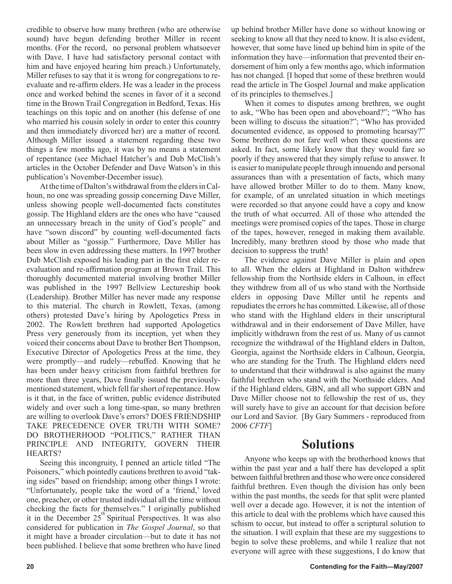credible to observe how many brethren (who are otherwise sound) have begun defending brother Miller in recent months. (For the record, no personal problem whatsoever with Dave. I have had satisfactory personal contact with him and have enjoyed hearing him preach.) Unfortunately, Miller refuses to say that it is wrong for congregations to reevaluate and re-affirm elders. He was a leader in the process once and worked behind the scenes in favor of it a second time in the Brown Trail Congregation in Bedford, Texas. His teachings on this topic and on another (his defense of one who married his cousin solely in order to enter this country and then immediately divorced her) are a matter of record. Although Miller issued a statement regarding these two things a few months ago, it was by no means a statement of repentance (see Michael Hatcher's and Dub McClish's articles in the October Defender and Dave Watson's in this publication's November-December issue).

At the time of Dalton's withdrawal from the elders in Calhoun, no one was spreading gossip concerning Dave Miller, unless showing people well-documented facts constitutes gossip. The Highland elders are the ones who have "caused an unnecessary breach in the unity of God's people" and have "sown discord" by counting well-documented facts about Miller as "gossip." Furthermore, Dave Miller has been slow in even addressing these matters. In 1997 brother Dub McClish exposed his leading part in the first elder reevaluation and re-affirmation program at Brown Trail. This thoroughly documented material involving brother Miller was published in the 1997 Bellview Lectureship book (Leadership). Brother Miller has never made any response to this material. The church in Rowlett, Texas, (among others) protested Dave's hiring by Apologetics Press in 2002. The Rowlett brethren had supported Apologetics Press very generously from its inception, yet when they voiced their concerns about Dave to brother Bert Thompson, Executive Director of Apologetics Press at the time, they were promptly—and rudely—rebuffed. Knowing that he has been under heavy criticism from faithful brethren for more than three years, Dave finally issued the previouslymentioned statement, which fell far short of repentance. How is it that, in the face of written, public evidence distributed widely and over such a long time-span, so many brethren are willing to overlook Dave's errors? DOES FRIENDSHIP TAKE PRECEDENCE OVER TRUTH WITH SOME? DO BROTHERHOOD "POLITICS," RATHER THAN PRINCIPLE AND INTEGRITY, GOVERN THEIR HEARTS?

Seeing this incongruity, I penned an article titled "The Poisoners," which pointedly cautions brethren to avoid "taking sides" based on friendship; among other things I wrote: "Unfortunately, people take the word of a 'friend,' loved one, preacher, or other trusted individual all the time without checking the facts for themselves." I originally published it in the December  $25<sup>th</sup>$  Spiritual Perspectives. It was also considered for publication in *The Gospel Journal*, so that it might have a broader circulation—but to date it has not been published. I believe that some brethren who have lined up behind brother Miller have done so without knowing or seeking to know all that they need to know. It is also evident, however, that some have lined up behind him in spite of the information they have—information that prevented their endorsement of him only a few months ago, which information has not changed. [I hoped that some of these brethren would read the article in The Gospel Journal and make application of its principles to themselves.]

When it comes to disputes among brethren, we ought to ask, "Who has been open and aboveboard?"; "Who has been willing to discuss the situation?"; "Who has provided documented evidence, as opposed to promoting hearsay?" Some brethren do not fare well when these questions are asked. In fact, some likely know that they would fare so poorly if they answered that they simply refuse to answer. It is easier to manipulate people through innuendo and personal assurances than with a presentation of facts, which many have allowed brother Miller to do to them. Many know, for example, of an unrelated situation in which meetings were recorded so that anyone could have a copy and know the truth of what occurred. All of those who attended the meetings were promised copies of the tapes. Those in charge of the tapes, however, reneged in making them available. Incredibly, many brethren stood by those who made that decision to suppress the truth!

The evidence against Dave Miller is plain and open to all. When the elders at Highland in Dalton withdrew fellowship from the Northside elders in Calhoun, in effect they withdrew from all of us who stand with the Northside elders in opposing Dave Miller until he repents and repudiates the errors he has committed. Likewise, all of those who stand with the Highland elders in their unscriptural withdrawal and in their endorsement of Dave Miller, have implicitly withdrawn from the rest of us. Many of us cannot recognize the withdrawal of the Highland elders in Dalton, Georgia, against the Northside elders in Calhoun, Georgia, who are standing for the Truth. The Highland elders need to understand that their withdrawal is also against the many faithful brethren who stand with the Northside elders. And if the Highland elders, GBN, and all who support GBN and Dave Miller choose not to fellowship the rest of us, they will surely have to give an account for that decision before our Lord and Savior. [By Gary Summers - reproduced from 2006 *CFTF*]

## **Solutions**

Anyone who keeps up with the brotherhood knows that within the past year and a half there has developed a split between faithful brethren and those who were once considered faithful brethren. Even though the division has only been within the past months, the seeds for that split were planted well over a decade ago. However, it is not the intention of this article to deal with the problems which have caused this schism to occur, but instead to offer a scriptural solution to the situation. I will explain that these are my suggestions to begin to solve these problems, and while I realize that not everyone will agree with these suggestions, I do know that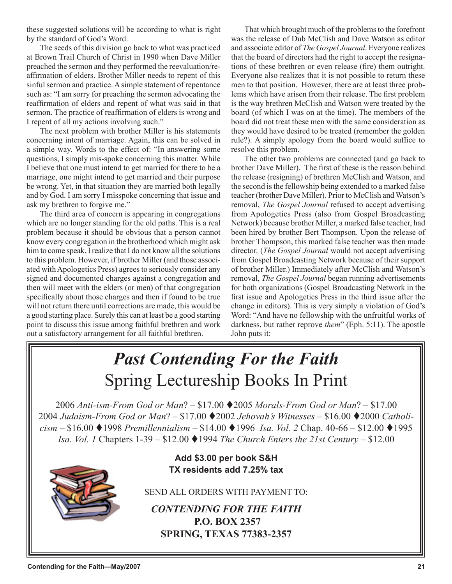these suggested solutions will be according to what is right by the standard of God's Word.

The seeds of this division go back to what was practiced at Brown Trail Church of Christ in 1990 when Dave Miller preached the sermon and they performed the reevaluation/reaffirmation of elders. Brother Miller needs to repent of this sinful sermon and practice. A simple statement of repentance such as: "I am sorry for preaching the sermon advocating the reaffirmation of elders and repent of what was said in that sermon. The practice of reaffirmation of elders is wrong and I repent of all my actions involving such."

The next problem with brother Miller is his statements concerning intent of marriage. Again, this can be solved in a simple way. Words to the effect of: "In answering some questions, I simply mis-spoke concerning this matter. While I believe that one must intend to get married for there to be a marriage, one might intend to get married and their purpose be wrong. Yet, in that situation they are married both legally and by God. I am sorry I misspoke concerning that issue and ask my brethren to forgive me."

The third area of concern is appearing in congregations which are no longer standing for the old paths. This is a real problem because it should be obvious that a person cannot know every congregation in the brotherhood which might ask him to come speak. I realize that I do not know all the solutions to this problem. However, if brother Miller (and those associated with Apologetics Press) agrees to seriously consider any signed and documented charges against a congregation and then will meet with the elders (or men) of that congregation specifically about those charges and then if found to be true will not return there until corrections are made, this would be a good starting place. Surely this can at least be a good starting point to discuss this issue among faithful brethren and work out a satisfactory arrangement for all faithful brethren.

That which brought much of the problems to the forefront was the release of Dub McClish and Dave Watson as editor and associate editor of *The Gospel Journal*. Everyone realizes that the board of directors had the right to accept the resignations of these brethren or even release (fire) them outright. Everyone also realizes that it is not possible to return these men to that position. However, there are at least three problems which have arisen from their release. The first problem is the way brethren McClish and Watson were treated by the board (of which I was on at the time). The members of the board did not treat these men with the same consideration as they would have desired to be treated (remember the golden rule?). A simply apology from the board would suffice to resolve this problem.

The other two problems are connected (and go back to brother Dave Miller). The first of these is the reason behind the release (resigning) of brethren McClish and Watson, and the second is the fellowship being extended to a marked false teacher (brother Dave Miller). Prior to McClish and Watson's removal, *The Gospel Journal* refused to accept advertising from Apologetics Press (also from Gospel Broadcasting Network) because brother Miller, a marked false teacher, had been hired by brother Bert Thompson. Upon the release of brother Thompson, this marked false teacher was then made director. (*The Gospel Journal* would not accept advertising from Gospel Broadcasting Network because of their support of brother Miller.) Immediately after McClish and Watson's removal, *The Gospel Journal* began running advertisements for both organizations (Gospel Broadcasting Network in the first issue and Apologetics Press in the third issue after the change in editors). This is very simply a violation of God's Word: "And have no fellowship with the unfruitful works of darkness, but rather reprove *them*" (Eph. 5:11). The apostle John puts it:

## *Past Contending For the Faith* Spring Lectureship Books In Print

2006 *Anti-ism-From God or Man*? – \$17.00 2005 *Morals-From God or Man*? – \$17.00 2004 *Judaism-From God or Man*? – \$17.00 ♦ 2002 *Jehovah's Witnesses* – \$16.00 ♦ 2000 *Catholicism –* \$16.00 ♦ 1998 *Premillennialism –* \$14.00 ♦ 1996 *Isa. Vol. 2* Chap. 40-66 – \$12.00 ♦ 1995 *Isa. Vol. 1* Chapters 1-39 – \$12.00 ♦ 1994 *The Church Enters the 21st Century* – \$12.00



**Add \$3.00 per book S&H TX residents add 7.25% tax**

SEND ALL ORDERS WITH PAYMENT TO:

*CONTENDING FOR THE FAITH* **P.O. BOX 2357 SPRING, TEXAS 77383-2357**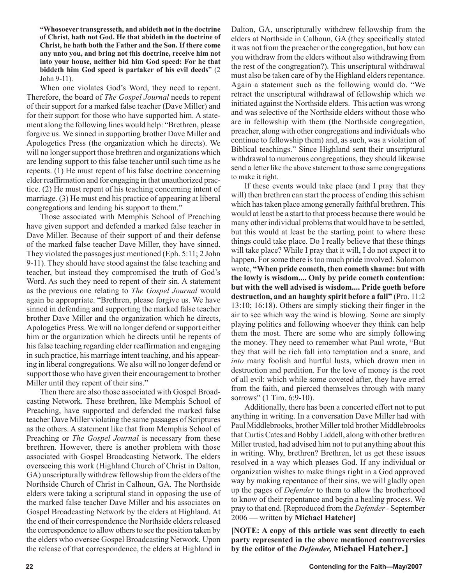**"Whosoever transgresseth, and abideth not in the doctrine of Christ, hath not God. He that abideth in the doctrine of Christ, he hath both the Father and the Son. If there come any unto you, and bring not this doctrine, receive him not into your house, neither bid him God speed: For he that biddeth him God speed is partaker of his evil deeds**" (2 John 9-11).

When one violates God's Word, they need to repent. Therefore, the board of *The Gospel Journal* needs to repent of their support for a marked false teacher (Dave Miller) and for their support for those who have supported him. A statement along the following lines would help: "Brethren, please forgive us. We sinned in supporting brother Dave Miller and Apologetics Press (the organization which he directs). We will no longer support those brethren and organizations which are lending support to this false teacher until such time as he repents. (1) He must repent of his false doctrine concerning elder reaffirmation and for engaging in that unauthorized practice. (2) He must repent of his teaching concerning intent of marriage. (3) He must end his practice of appearing at liberal congregations and lending his support to them."

Those associated with Memphis School of Preaching have given support and defended a marked false teacher in Dave Miller. Because of their support of and their defense of the marked false teacher Dave Miller, they have sinned. They violated the passages just mentioned (Eph. 5:11; 2 John 9-11). They should have stood against the false teaching and teacher, but instead they compromised the truth of God's Word. As such they need to repent of their sin. A statement as the previous one relating to *The Gospel Journal* would again be appropriate. "Brethren, please forgive us. We have sinned in defending and supporting the marked false teacher brother Dave Miller and the organization which he directs, Apologetics Press. We will no longer defend or support either him or the organization which he directs until he repents of his false teaching regarding elder reaffirmation and engaging in such practice, his marriage intent teaching, and his appearing in liberal congregations. We also will no longer defend or support those who have given their encouragement to brother Miller until they repent of their sins."

Then there are also those associated with Gospel Broadcasting Network. These brethren, like Memphis School of Preaching, have supported and defended the marked false teacher Dave Miller violating the same passages of Scriptures as the others. A statement like that from Memphis School of Preaching or *The Gospel Journal* is necessary from these brethren. However, there is another problem with those associated with Gospel Broadcasting Network. The elders overseeing this work (Highland Church of Christ in Dalton, GA) unscripturally withdrew fellowship from the elders of the Northside Church of Christ in Calhoun, GA. The Northside elders were taking a scriptural stand in opposing the use of the marked false teacher Dave Miller and his associates on Gospel Broadcasting Network by the elders at Highland. At the end of their correspondence the Northside elders released the correspondence to allow others to see the position taken by the elders who oversee Gospel Broadcasting Network. Upon the release of that correspondence, the elders at Highland in Dalton, GA, unscripturally withdrew fellowship from the elders at Northside in Calhoun, GA (they specifically stated it was not from the preacher or the congregation, but how can you withdraw from the elders without also withdrawing from the rest of the congregation?). This unscriptural withdrawal must also be taken care of by the Highland elders repentance. Again a statement such as the following would do. "We retract the unscriptural withdrawal of fellowship which we initiated against the Northside elders. This action was wrong and was selective of the Northside elders without those who are in fellowship with them (the Northside congregation, preacher, along with other congregations and individuals who continue to fellowship them) and, as such, was a violation of Biblical teachings." Since Highland sent their unscriptural withdrawal to numerous congregations, they should likewise send a letter like the above statement to those same congregations to make it right.

If these events would take place (and I pray that they will) then brethren can start the process of ending this schism which has taken place among generally faithful brethren. This would at least be a start to that process because there would be many other individual problems that would have to be settled, but this would at least be the starting point to where these things could take place. Do I really believe that these things will take place? While I pray that it will, I do not expect it to happen. For some there is too much pride involved. Solomon wrote, **"When pride cometh, then cometh shame: but with the lowly is wisdom.... Only by pride cometh contention: but with the well advised is wisdom.... Pride goeth before destruction, and an haughty spirit before a fall"** (Pro. 11:2 13:10; 16:18). Others are simply sticking their finger in the air to see which way the wind is blowing. Some are simply playing politics and following whoever they think can help them the most. There are some who are simply following the money. They need to remember what Paul wrote, "But they that will be rich fall into temptation and a snare, and *into* many foolish and hurtful lusts, which drown men in destruction and perdition. For the love of money is the root of all evil: which while some coveted after, they have erred from the faith, and pierced themselves through with many sorrows" (1 Tim. 6:9-10).

Additionally, there has been a concerted effort not to put anything in writing. In a conversation Dave Miller had with Paul Middlebrooks, brother Miller told brother Middlebrooks that Curtis Cates and Bobby Liddell, along with other brethren Miller trusted, had advised him not to put anything about this in writing. Why, brethren? Brethren, let us get these issues resolved in a way which pleases God. If any individual or organization wishes to make things right in a God approved way by making repentance of their sins, we will gladly open up the pages of *Defender* to them to allow the brotherhood to know of their repentance and begin a healing process. We pray to that end. [Reproduced from the *Defender -* September 2006 — written by **Michael Hatcher]**

**[NOTE: A copy of this article was sent directly to each party represented in the above mentioned controversies by the editor of the** *Defender,* **Michael Hatcher.]**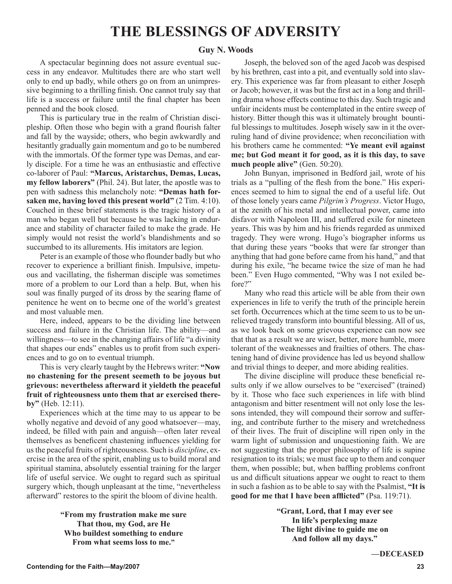## **THE BLESSINGS OF ADVERSITY**

## **Guy N. Woods**

A spectacular beginning does not assure eventual success in any endeavor. Multitudes there are who start well only to end up badly, while others go on from an unimpressive beginning to a thrilling finish. One cannot truly say that life is a success or failure until the final chapter has been penned and the book closed.

This is particulary true in the realm of Christian discipleship. Often those who begin with a grand flourish falter and fall by the wayside; others, who begin awkwardly and hesitantly gradually gain momentum and go to be numbered with the immortals. Of the former type was Demas, and early disciple. For a time he was an enthusiastic and effective co-laborer of Paul: **"Marcus, Aristarchus, Demas, Lucas, my fellow laborers"** (Phil. 24). But later, the apostle was to pen with sadness this melancholy note: **"Demas hath forsaken me, having loved this present world"** (2 Tim. 4:10). Couched in these brief statements is the tragic history of a man who began well but because he was lacking in endurance and stability of character failed to make the grade. He simply would not resist the world's blandishments and so succumbed to its allurements. His imitators are legion.

Peter is an example of those who flounder badly but who recover to experience a brilliant finish. Impulsive, impetuous and vacillating, the fisherman disciple was sometimes more of a problem to our Lord than a help. But, when his soul was finally purged of its dross by the searing flame of penitence he went on to becme one of the world's greatest and most valuable men.

Here, indeed, appears to be the dividing line between success and failure in the Christian life. The ability—and willingness—to see in the changing affairs of life "a divinity that shapes our ends" enables us to profit from such experiences and to go on to eventual triumph.

This is very clearly taught by the Hebrews writer: **"Now no chastening for the present seemeth to be joyous but grievous: nevertheless afterward it yieldeth the peaceful fruit of righteousness unto them that ar exercised thereby"** (Heb. 12:11).

Experiences which at the time may to us appear to be wholly negative and devoid of any good whatsoever—may, indeed, be filled with pain and anguish—often later reveal themselves as beneficent chastening influences yielding for us the peaceful fruits of righteousness. Such is *discipline*, exercise in the area of the spirit, enabling us to build moral and spiritual stamina, absolutely essential training for the larger life of useful service. We ought to regard such as spiritual surgery which, though unpleasant at the time, "nevertheless afterward" restores to the spirit the bloom of divine health.

> **"From my frustration make me sure That thou, my God, are He Who buildest something to endure From what seems loss to me."**

Joseph, the beloved son of the aged Jacob was despised by his brethren, cast into a pit, and eventually sold into slavery. This experience was far from pleasant to either Joseph or Jacob; however, it was but the first act in a long and thrilling drama whose effects continue to this day. Such tragic and unfair incidents must be contemplated in the entire sweep of history. Bitter though this was it ultimately brought bountiful blessings to multitudes. Joseph wisely saw in it the overruling hand of divine providence; when reconciliation with his brothers came he commented: **"Ye meant evil against me; but God meant it for good, as it is this day, to save much people alive"** (Gen. 50:20).

John Bunyan, imprisoned in Bedford jail, wrote of his trials as a "pulling of the flesh from the bone." His experiences seemed to him to signal the end of a useful life. Out of those lonely years came *Pilgrim's Progress*. Victor Hugo, at the zenith of his metal and intellectual power, came into disfavor with Napoleon III, and suffered exile for nineteen years. This was by him and his friends regarded as unmixed tragedy. They were wrong. Hugo's biographer informs us that during these years "books that were far stronger than anything that had gone before came from his hand," and that during his exile, "he became twice the size of man he had been." Even Hugo commented, "Why was I not exiled before?"

Many who read this article will be able from their own experiences in life to verify the truth of the principle herein set forth. Occurrences which at the time seem to us to be unrelieved tragedy transform into bountiful blessing. All of us, as we look back on some grievous experience can now see that that as a result we are wiser, better, more humble, more tolerant of the weaknesses and frailties of others. The chastening hand of divine providence has led us beyond shallow and trivial things to deeper, and more abiding realities.

The divine discipline will produce these beneficial results only if we allow ourselves to be "exercised" (trained) by it. Those who face such experiences in life with blind antagonism and bitter resentment will not only lose the lessons intended, they will compound their sorrow and suffering, and contribute further to the misery and wretchedness of their lives. The fruit of discipline will ripen only in the warm light of submission and unquestioning faith. We are not suggesting that the proper philosophy of life is supine resignation to its trials; we must face up to them and conquer them, when possible; but, when baffling problems confront us and difficult situations appear we ought to react to them in such a fashion as to be able to say with the Psalmist, **"It is good for me that I have been afflicted"** (Psa. 119:71).

> **"Grant, Lord, that I may ever see In life's perplexing maze The light divine to guide me on And follow all my days."**